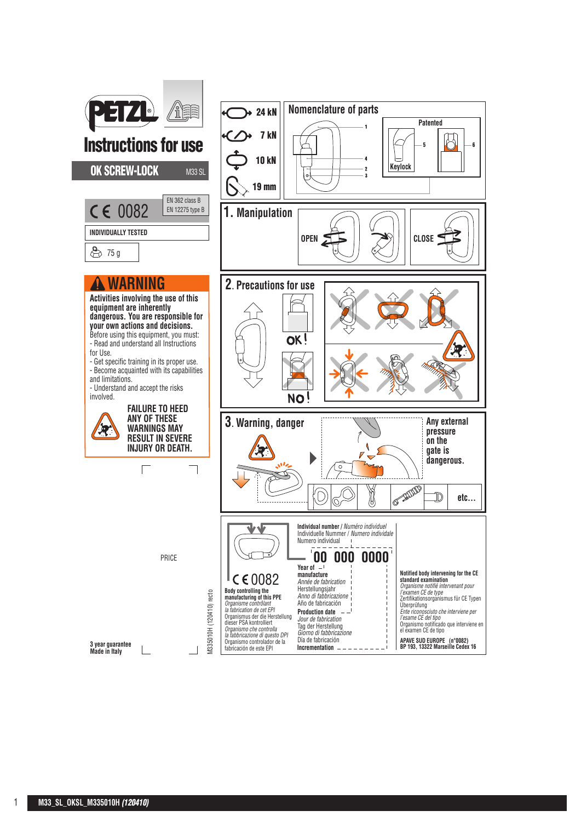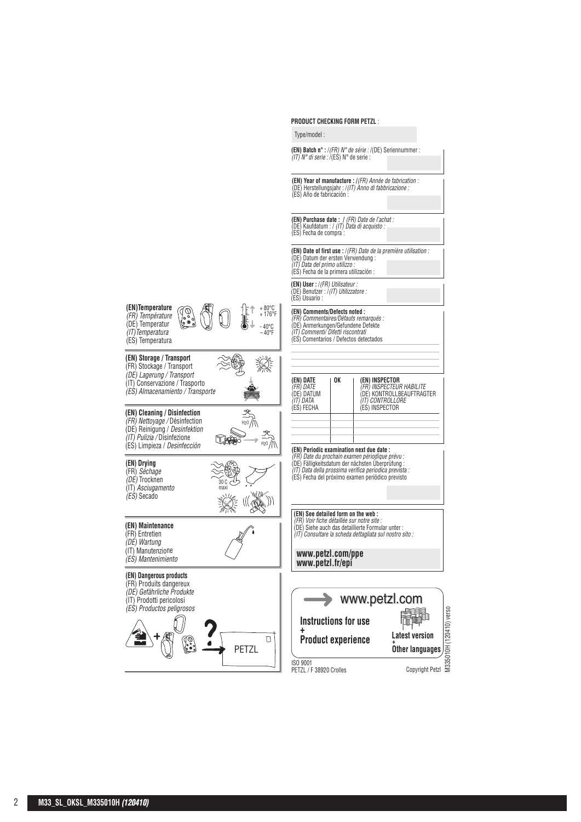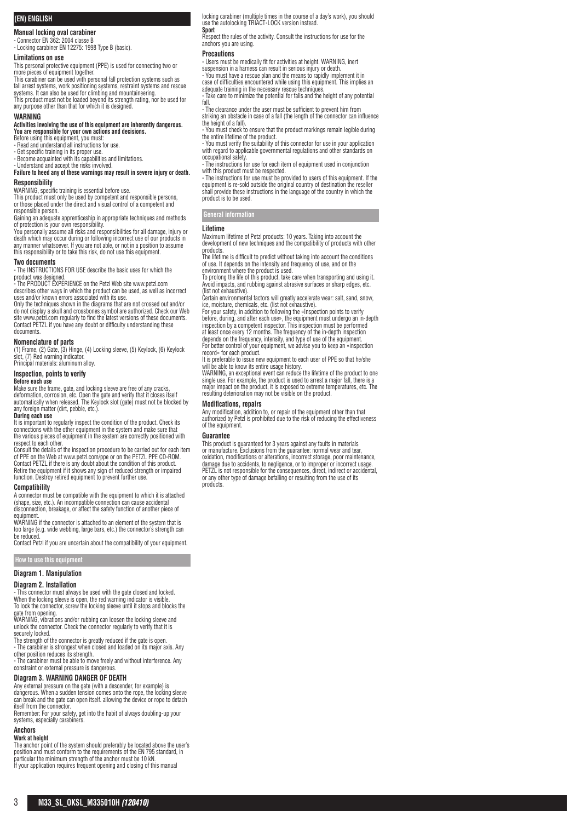# **(EN) ENGLISH**

# **Manual locking oval carabiner**

- Connector EN 362: 2004 classe B - Locking carabiner EN 12275: 1998 Type B (basic).

## **Limitations on use**

This personal protective equipment (PPE) is used for connecting two or more pieces of equipment together.

This carabiner can be used with personal fall protection systems such as fall arrest systems, work positioning systems, restraint systems and rescue systems. It can also be used for climbing and mountaineering. This product must not be loaded beyond its strength rating, nor be used for any purpose other than that for which it is designed.

#### **WARNING**

# **Activities involving the use of this equipment are inherently dangerous. You are responsible for your own actions and decisions.**

Before using this equipment, you must: - Read and understand all instructions for use.

- Get specific training in its proper use. - Become acquainted with its capabilities and limitations.

- Understand and accept the risks involved. **Failure to heed any of these warnings may result in severe injury or death.**

#### **Responsibility**

WARNING, specific training is essential before use. This product must only be used by competent and responsible persons, or those placed under the direct and visual control of a competent and responsible person.

Gaining an adequate apprenticeship in appropriate techniques and methods of protection is your own responsibility.

You personally assume all risks and responsibilities for all damage, injury or<br>death which may occur during or following incorrect use of our products in<br>any manner whatsoever. If you are not able, or not in a position to this responsibility or to take this risk, do not use this equipment.

#### **Two documents**

- The INSTRUCTIONS FOR USE describe the basic uses for which the product was designed. - The PRODUCT EXPERIENCE on the Petzl Web site www.petzl.com

describes other ways in which the product can be used, as well as incorrect uses and/or known errors associated with its use. Only the techniques shown in the diagrams that are not crossed out and/or

do not display a skull and crossbones symbol are authorized. Check our Web site www.petzl.com regularly to find the latest versions of these documents. Contact PETZL if you have any doubt or difficulty understanding these documents.

# **Nomenclature of parts**

(1) Frame, (2) Gate, (3) Hinge, (4) Locking sleeve, (5) Keylock, (6) Keylock slot, (7) Red warning indicator. Principal materials: aluminum alloy.

**Inspection, points to verify**

# **Before each use**

Make sure the frame, gate, and locking sleeve are free of any cracks, deformation, corrosion, etc. Open the gate and verify that it closes itself automatically when released. The Keylock slot (gate) must not be blocked by any foreign matter (dirt, pebble, etc.).

# **During each use**

It is important to regularly inspect the condition of the product. Check its connections with the other equipment in the system and make sure that the various pieces of equipment in the system are correctly positioned with

respect to each other. Consult the details of the inspection procedure to be carried out for each item of PPE on the Web at www.petzl.com/ppe or on the PETZL PPE CD-ROM. Contact PETZL if there is any doubt about the condition of this product. Retire the equipment if it shows any sign of reduced strength or impaired function. Destroy retired equipment to prevent further use.

#### **Compatibility**

A connector must be compatible with the equipment to which it is attached (shape, size, etc.). An incompatible connection can cause accidental disconnection, breakage, or affect the safety function of another piece of equipment.

WARNING if the connector is attached to an element of the system that is too large (e.g. wide webbing, large bars, etc.) the connector's strength can be reduced.

Contact Petzl if you are uncertain about the compatibility of your equipment.

**How to use this equipment**

#### **Diagram 1. Manipulation**

#### **Diagram 2. Installation**

- This connector must always be used with the gate closed and locked. When the locking sleeve is open, the red warning indicator is visible. To lock the connector, screw the locking sleeve until it stops and blocks the

gate from opening. WARNING, vibrations and/or rubbing can loosen the locking sleeve and unlock the connector. Check the connector regularly to verify that it is securely locked.

The strength of the connector is greatly reduced if the gate is open. - The carabiner is strongest when closed and loaded on its major axis. Any

other position reduces its strength. - The carabiner must be able to move freely and without interference. Any constraint or external pressure is dangerous.

# **Diagram 3. WARNING DANGER OF DEATH**

Any external pressure on the gate (with a descender, for example) is dangerous. When a sudden tension comes onto the rope, the locking sleeve can break and the gate can open itself. allowing the device or rope to detach

itself from the connector. Remember: For your safety, get into the habit of always doubling-up your systems, especially carabine

#### **Anchors Work at height**

The anchor point of the system should preferably be located above the user's position and must conform to the requirements of the EN 795 standard, in<br>particular the minimum strength of the anchor must be 10 kN.<br>If your application requires frequent opening and closing of this manual

locking carabiner (multiple times in the course of a day's work), you should use the autolocking TRIACT-LOCK version instead. **Sport**

Respect the rules of the activity. Consult the instructions for use for the anchors you are using.

#### **Precautions**

- Users must be medically fit for activities at height. WARNING, inert suspension in a harness can result in serious injury or death. - You must have a rescue plan and the means to rapidly implement it in case of difficulties encountered while using this equipment. This implies an adequate training in the necessary rescue techniques. - Take care to minimize the potential for falls and the height of any potential

fall. - The clearance under the user must be sufficient to prevent him from striking an obstacle in case of a fall (the length of the connector can influence the height of a fall).

- You must check to ensure that the product markings remain legible during the entire lifetime of the product.

- You must verify the suitability of this connector for use in your application with regard to applicable governmental regulations and other standards on occupational safety.

- The instructions for use for each item of equipment used in conjunction with this product must be respected. - The instructions for use must be provided to users of this equipment. If the

equipment is re-sold outside the original country of destination the reseller shall provide these instructions in the language of the country in which the product is to be used.

# **General information**

#### **Lifetime**

Maximum lifetime of Petzl products: 10 years. Taking into account the development of new techniques and the compatibility of products with other products.

The lifetime is difficult to predict without taking into account the conditions of use. It depends on the intensity and frequency of use, and on the environment where the product is used.

To prolong the life of this product, take care when transporting and using it. Avoid impacts, and rubbing against abrasive surfaces or sharp edges, etc. (list not exhaustive).

Certain environmental factors will greatly accelerate wear: salt, sand, snow, ice, moisture, chemicals, etc. (list not exhaustive).

For your safety, in addition to following the «Inspection points to verify before, during, and after each use», the equipment must undergo an in-depth inspection by a competent inspector. This inspection must be performed at least once every 12 months. The frequency of the in-depth inspection depends on the frequency, intensity, and type of use of the equipment. For better control of your equipment, we advise you to keep an «inspection

record» for each product. It is preferable to issue new equipment to each user of PPE so that he/she

will be able to know its entire usage history. WARNING, an exceptional event can reduce the lifetime of the product to one single use. For example, the product is used to arrest a major fall, there is a major impact on the product, it is exposed to extreme temperatures, etc. The resulting deterioration may not be visible on the product.

# **Modifications, repairs**

Any modification, addition to, or repair of the equipment other than that authorized by Petzl is prohibited due to the risk of reducing the effectiveness of the equipment.

#### **Guarantee**

This product is guaranteed for 3 years against any faults in materials or manufacture. Exclusions from the guarantee: normal wear and tear, oxidation, modifications or alterations, incorrect storage, poor maintenance, damage due to accidents, to negligence, or to improper or incorrect usage.<br>PETZL is not responsible for the consequences, direct, indirect or accidental,<br>or any other type of damage befalling or resulting from the use of i products.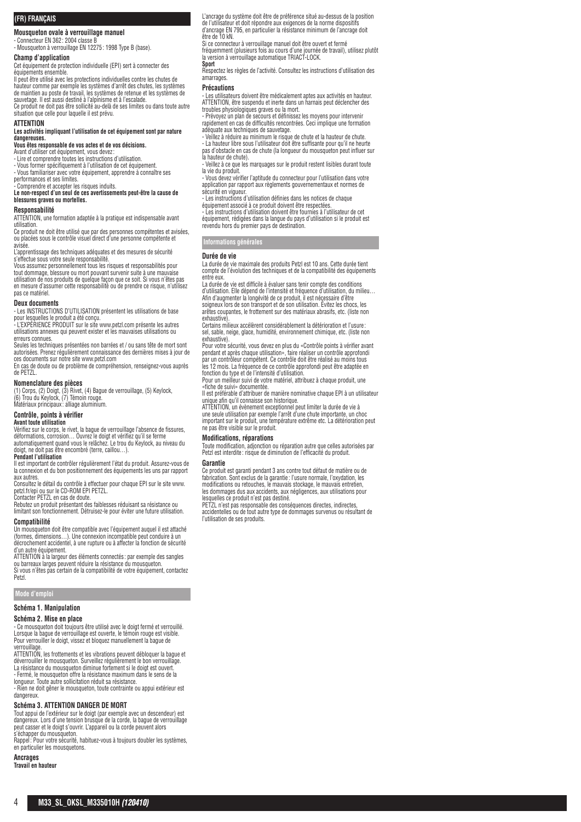### **(FR) FRANÇAIS**

**Mousqueton ovale à verrouillage manuel**

- Connecteur EN 362: 2004 classe B - Mousqueton à verrouillage EN 12275: 1998 Type B (base).

# **Champ d'application**

Cet équipement de protection individuelle (EPI) sert à connecter des équipements ensemble.

Il peut être utilisé avec les protections individuelles contre les chutes de hauteur comme par exemple les systèmes d'arrêt des chutes, les systèmes de maintien au poste de travail, les systèmes de retenue et les systèmes de sauvetage. Il est aussi destiné à l'alpinisme et à l'escalade. Ce produit ne doit pas être sollicité au-delà de ses limites ou dans toute autre situation que celle pour laquelle il est prévu.

#### **ATTENTION**

#### **Les activités impliquant l'utilisation de cet équipement sont par nature dangereuses.**

**Vous êtes responsable de vos actes et de vos décisions.**

Avant d'utiliser cet équipement, vous devez:<br>- Lire et comprendre toutes les instructions d'utilisation.

- Vous former spécifiquement à l'utilisation de cet équipement. - Vous familiariser avec votre équipement, apprendre à connaître ses

performances et ses limites.

Comprendre et accepter les risques induits. **Le non-respect d'un seul de ces avertissements peut-être la cause de blessures graves ou mortelles.**

## **Responsabilité**

ATTENTION, une formation adaptée à la pratique est indispensable avant

utilisation. Ce produit ne doit être utilisé que par des personnes compétentes et avisées, ou placées sous le contrôle visuel direct d'une personne compétente et avisée.

L'apprentissage des techniques adéquates et des mesures de sécurité

s'effectue sous votre seule responsabilité. Vous assumez personnellement tous les risques et responsabilités pour tout dommage, blessure ou mort pouvant survenir suite à une mauvaise utilisation de nos produits de quelque façon que ce soit. Si vous n'êtes pas en mesure d'assumer cette responsabilité ou de prendre ce risque, n'utilisez pas ce matériel.

#### **Deux documents**

- Les INSTRUCTIONS D'UTILISATION présentent les utilisations de base pour lesquelles le produit a été conçu. - L'EXPÉRIENCE PRODUIT sur le site www.petzl.com présente les autres

utilisations annexes qui peuvent exister et les mauvaises utilisations ou erreurs connues.

Seules les techniques présentées non barrées et / ou sans tête de mort sont autorisées. Prenez régulièrement connaissance des dernières mises à jour de ces documents sur notre site www.petzl.com

En cas de doute ou de problème de compréhension, renseignez-vous auprès de PETZL.

#### **Nomenclature des pièces**

(1) Corps, (2) Doigt, (3) Rivet, (4) Bague de verrouillage, (5) Keylock, (6) Trou du Keylock, (7) Témoin rouge. Matériaux principaux : alliage aluminium.

**Contrôle, points à vérifier**

# **Avant toute utilisation**

Vérifiez sur le corps, le rivet, la bague de verrouillage l'absence de fissures, déformations, corrosion… Ouvrez le doigt et vérifiez qu'il se ferme

automatiquement quand vous le relâchez. Le trou du Keylock, au niveau du doigt, ne doit pas être encombré (terre, caillou…). **Pendant l'utilisation**

Il est important de contrôler régulièrement l'état du produit. Assurez-vous de la connexion et du bon positionnement des équipements les uns par rapport aux autres.

Consultez le détail du contrôle à effectuer pour chaque EPI sur le site www. petzl.fr/epi ou sur le CD-ROM EPI PETZL. Contacter PETZL en cas de doute.

Rebutez un produit présentant des faiblesses réduisant sa résistance ou limitant son fonctionnement. Détruisez-le pour éviter une future utilisation.

**Compatibilité**

Un mousqueton doit être compatible avec l'équipement auquel il est attaché<br>(formes, dimensions…). Une connexion incompatible peut conduire à un<br>décrochement accidentel, à une rupture ou à affecter la fonction de sécurité

d'un autre équipement. ATTENTION à la largeur des éléments connectés : par exemple des sangles ou barreaux larges peuvent réduire la résistance du mousqueton. Si vous n'êtes pas certain de la compatibilité de votre équipement, contactez

Petzl.

## **Mode d'emploi**

### **Schéma 1. Manipulation**

#### **Schéma 2. Mise en place**

- Ce mousqueton doit toujours être utilisé avec le doigt fermé et verrouillé. Lorsque la bague de verrouillage est ouverte, le témoin rouge est visible. Pour verrouiller le doigt, vissez et bloquez manuellement la bague de verrouillage.

ATTENTION, les frottements et les vibrations peuvent débloquer la bague et déverrouiller le mousqueton. Surveillez régulièrement le bon verrouillage. La résistance du mousqueton diminue fortement si le doigt est ouvert. - Fermé, le mousqueton offre la résistance maximum dans le sens de la

longueur. Toute autre sollicitation réduit sa résistance.

- Rien ne doit gêner le mousqueton, toute contrainte ou appui extérieur est dangereux.

#### **Schéma 3. ATTENTION DANGER DE MORT**

Tout appui de l'extérieur sur le doigt (par exemple avec un descendeur) est dangereux. Lors d'une tension brusque de la corde, la bague de verrouillage peut casser et le doigt s'ouvrir. L'appareil ou la corde peuvent alors

s'échapper du mousqueton. Rappel: Pour votre sécurité, habituez-vous à toujours doubler les systèmes, en particulier les mousquetons.

# **Ancrages**

**Travail en hauteur**

L'ancrage du système doit être de préférence situé au-dessus de la position de l'utilisateur et doit répondre aux exigences de la norme dispositifs d'ancrage EN 795, en particulier la résistance minimum de l'ancrage doit être de 10 kN.

Si ce connecteur à verrouillage manuel doit être ouvert et fermé<br>fréquemment (plusieurs fois au cours d'une journée de travail), utilisez plutôt<br>la version à verrouillage automatique TRIACT-LOCK.

#### **Sport**

Respectez les règles de l'activité. Consultez les instructions d'utilisation des amarrages

#### **Précautions**

- Les utilisateurs doivent être médicalement aptes aux activités en hauteur. ATTENTION, être suspendu et inerte dans un harnais peut déclencher des tbles physiologiques graves ou la mort.

- Prévoyez un plan de secours et définissez les moyens pour intervenir rapidement en cas de difficultés rencontrées. Ceci implique une formation

adéquate aux techniques de sauvetage. - Veillez à réduire au minimum le risque de chute et la hauteur de chute. - La hauteur libre sous l'utilisateur doit être suffisante pour qu'il ne heurte pas d'obstacle en cas de chute (la longueur du mousqueton peut influer sur la hauteur de chute).

- Veillez à ce que les marquages sur le produit restent lisibles durant toute la vie du produit.

- Vous devez vérifier l'aptitude du connecteur pour l'utilisation dans votre application par rapport aux règlements gouvernementaux et normes de sécurité en vigueu

- Les instructions d'utilisation définies dans les notices de chaque

équipement associé à ce produit doivent être respectées. - Les instructions d'utilisation doivent être fournies à l'utilisateur de cet équipement, rédigées dans la langue du pays d'utilisation si le produit est revendu hors du premier pays de destination.

**Informations générales**

# **Durée de vie**

La durée de vie maximale des produits Petzl est 10 ans. Cette durée tient compte de l'évolution des techniques et de la compatibilité des équipements entre eux.

La durée de vie est difficile à évaluer sans tenir compte des conditions d'utilisation. Elle dépend de l'intensité et fréquence d'utilisation, du milieu… Afin d'augmenter la longévité de ce produit, il est nécessaire d'être soigneux lors de son transport et de son utilisation. Évitez les chocs, les

arêtes coupantes, le frottement sur des matériaux abrasifs, etc. (liste non

exhaustive).<br>Certains milieux accélèrent considérablement la détérioration et l'usure :<br>sel, sable, neige, glace, humidité, environnement chimique, etc. (liste non<br>exhaustive). Pour votre sécurité, vous devez en plus du «Contrôle points à vérifier avant

pendant et après chaque utilisation», faire réaliser un contrôle approfondi par un contrôleur compétent. Ce contrôle doit être réalisé au moins tous les 12 mois. La fréquence de ce contrôle approfondi peut être adaptée en fonction du type et de l'intensité d'utilisation.

Pour un meilleur suivi de votre matériel, attribuez à chaque produit, une «fiche de suivi» documentée.

Il est préférable d'attribuer de manière nominative chaque EPI à un utilisateur unique afin qu'il connaisse son historique.

ATTENTION, un évènement exceptionnel peut limiter la durée de vie à une seule utilisation par exemple l'arrêt d'une chute importante, un choc important sur le produit, une température extrême etc. La détérioration peut ne pas être visible sur le produit.

#### **Modifications, réparations**

Toute modification, adjonction ou réparation autre que celles autorisées par Petzl est interdite : risque de diminution de l'efficacité du produit.

#### **Garantie**

Ce produit est garanti pendant 3 ans contre tout défaut de matière ou de fabrication. Sont exclus de la garantie : l'usure normale, l'oxydation, les modifications ou retouches, le mauvais stockage, le mauvais entretien, les dommages dus aux accidents, aux négligences, aux utilisations pour lesquelles ce produit n'est pas destiné. PETZL n'est pas responsable des conséquences directes, indirectes,

accidentelles ou de tout autre type de dommages survenus ou résultant de l'utilisation de ses produits.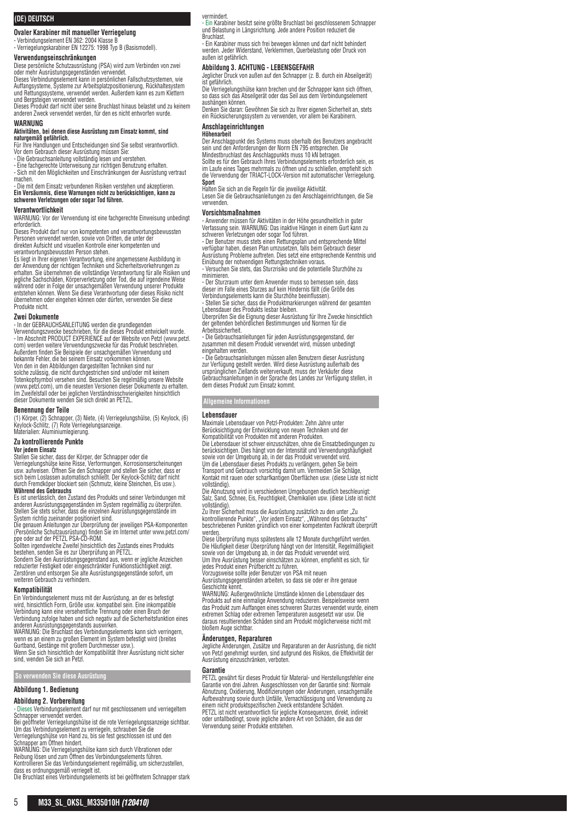# **(DE) DEUTSCH**

**Ovaler Karabiner mit manueller Verriegelung**

- Verbindungselement EN 362: 2004 Klasse B - Verriegelungskarabiner EN 12275: 1998 Typ B (Basismodell).

**Verwendungseinschränkungen**

Diese persönliche Schutzausrüstung (PSA) wird zum Verbinden von zwei oder mehr Ausrüstungsgegenständen verwendet.

Dieses Verbindungselement kann in persönlichen Fallschutzsystemen, wie Auffangsysteme, Systeme zur Arbeitsplatzpositionierung, Rückhaltesystem und Rettungssysteme, verwendet werden. Außerdem kann es zum Klettern

und Bergsteigen verwendet werden.<br>Dieses Produkt darf nicht über seine Bruchlast hinaus belastet und zu keinem<br>anderen Zweck verwendet werden, für den es nicht entworfen wurde.

# **WARNUNG**

# **Aktivitäten, bei denen diese Ausrüstung zum Einsatz kommt, sind naturgemäß gefährlich.** Für Ihre Handlungen und Entscheidungen sind Sie selbst verantwortlich.

Vor dem Gebrauch dieser Ausrüstung müssen Sie:<br>- Die Gebrauchsanleitung vollständig lesen und verstehen.<br>- Eine fachgerechte Unterweisung zur richtigen Benutzung erhalten.<br>- Sich mit den Möglichkeiten und Einschränkungen d machen.

- Die mit dem Einsatz verbundenen Risiken verstehen und akzeptieren. **Ein Versäumnis, diese Warnungen nicht zu berücksichtigen, kann zu schweren Verletzungen oder sogar Tod führen.**

#### **Verantwortlichkeit**

WARNUNG: Vor der Verwendung ist eine fachgerechte Einweisung unbedingt

erforderlich.<br>Dieses Produkt darf nur von kompetenten und verantwortungsbewussten<br>Personen verwendet werden, sowie von Dritten, die unter der direkten Aufsicht und visuellen Kontrolle einer kompetenten und verantwortungsbewussten Person stehen.

Es liegt in Ihrer eigenen Verantwortung, eine angemessene Ausbildung in<br>der Anwendung der richtigen Techniken und Sicherheitsvorkehrungen zu<br>erhalten. Sie übernehmen die vollständige Verantwortung für alle Risiken und<br>jegl während oder in Folge der unsachgemäßen Verwendung unserer Produkte entstehen können. Wenn Sie diese Verantwortung oder dieses Risiko nicht übernehmen oder eingehen können oder dürfen, verwenden Sie diese Produkte nicht.

#### **Zwei Dokumente**

- In der GEBRAUCHSANLEITUNG werden die grundlegenden Verwendungszwecke beschrieben, für die dieses Produkt entwickelt wurde. - Im Abschnitt PRODUCT EXPERIENCE auf der Website von Petzl (www.petzl. com) werden weitere Verwendungszwecke für das Produkt beschrieben. Außerdem finden Sie Beispiele der unsachgemäßen Verwendung und bekannte Fehler, die bei seinem Einsatz vorkommen können. Von den in den Abbildungen dargestellten Techniken sind nur solche zulässig, die nicht durchgestrichen sind und/oder mit keinem Totenkopfsymbol versehen sind. Besuchen Sie regelmäßig unsere Website (www.petzl.com), um die neuesten Versionen dieser Dokumente zu erhalten. Im Zweifelsfall oder bei jeglichen Verständnisschwierigkeiten hinsichtlich dieser Dokumente wenden Sie sich direkt an PETZL.

#### **Benennung der Teile**

(1) Körper, (2) Schnapper, (3) Niete, (4) Verriegelungshülse, (5) Keylock, (6) Keylock-Schlitz, (7) Rote Verriegelungsanzeige. Materialien: Aluminiumlegierung.

# **Zu kontrollierende Punkte**

#### **Vor jedem Einsatz**

Stellen Sie sicher, dass der Körper, der Schnapper oder die Verriegelungshülse keine Risse, Verformungen, Korrosionserscheinungen usw. aufweisen. Öffnen Sie den Schnapper und stellen Sie sicher, dass er sich beim Loslassen automatisch schließt. Der Keylock-Schlitz darf nicht durch Fremdköper blockiert sein (Schmutz, kleine Steinchen, Eis usw.). **Während des Gebrauchs**

Es ist unerlässlich, den Zustand des Produkts und seiner Verbindungen mit anderen Ausrüstungsgegenständen im System regelmäßig zu überprüfen. Stellen Sie stets sicher, dass die einzelnen Ausrüstungsgegenstände im System richtig zueinander positioniert sind.

Die genauen Anleitungen zur Überprüfung der jeweiligen PSA-Komponenten (Persönliche Schutzausrüstung) finden Sie im Internet unter www.petzl.com/

ppe oder auf der PETZL PSA-CD-ROM. Sollten irgendwelche Zweifel hinsichtlich des Zustands eines Produkts

bestehen, senden Sie es zur Uberprüfung an PETZL.<br>Sondern Sie den Ausrüstungsgegenstand aus, wenn er jegliche Anzeichen<br>reduzierter Festigkeit oder eingeschränkter Funktionstüchtigkeit zeigt.<br>Zerstören und entsorgen Sie al weiteren Gebrauch zu verhindern.

#### **Kompatibilität**

Ein Verbindungselement muss mit der Ausrüstung, an der es befestigt wird, hinsichtlich Form, Größe usw. kompatibel sein. Eine inkompatible<br>Verbindung kann eine versehentliche Trennung oder einen Bruch der<br>Verbindung zufolge haben und sich negativ auf die Sicherheitsfunktion eines<br>WerNIUNG:

Gurtband, Gestänge mit großem Durchmesser usw.). Wenn Sie sich hinsichtlich der Kompatibilität Ihrer Ausrüstung nicht sicher sind, wenden Sie sich an Petzl.

**So verwenden Sie diese Ausrüstung**

**Abbildung 1. Bedienung**

# **Abbildung 2. Vorbereitung**

- Dieses Verbindungselement darf nur mit geschlossenem und verriegeltem Schnapper verwendet werden. Bei geöffneter Verriegelungshülse ist die rote Verriegelungssanzeige sichtbar.

Um das Verbindungselement zu verriegeln, schrauben Sie die Verriegelungshülse von Hand zu, bis sie fest geschlossen ist und den Schnapper am Öffnen hindert.

WARNUNG: Die Verriegelungshülse kann sich durch Vibrationen oder Reibung lösen und zum Öffnen des Verbindungselements führen.

Kontrollieren Sie das Verbindungselement regelmäßig, um sicherzustellen,<br>dass es ordnungsgemäß verriegelt ist.<br>Die Bruchlast eines Verbindungselements ist bei geöffnetem Schnapper stark

# vermindert.

- Ein Karabiner besitzt seine größte Bruchlast bei geschlossenem Schnapper und Belastung in Längsrichtung. Jede andere Position reduziert die **Bruchlast** 

- Ein Karabiner muss sich frei bewegen können und darf nicht behindert werden. Jeder Widerstand, Verklemmen, Querbelastung oder Druck von außen ist gefährlich.

# **Abbildung 3. ACHTUNG - LEBENSGEFAHR**

Jeglicher Druck von außen auf den Schnapper (z. B. durch ein Abseilgerät) ist gefährlich.

Die Verriegelungshülse kann brechen und der Schnapper kann sich öffnen, so dass sich das Abseilgerät oder das Seil aus dem Verbindungselement aushängen können.

Denken Sie daran: Gewöhnen Sie sich zu Ihrer eigenen Sicherheit an, stets ein Rücksicherungssystem zu verwenden, vor allem bei Karabinern.

#### **Anschlageinrichtungen Höhenarbeit**

Der Anschlagpunkt des Systems muss oberhalb des Benutzers angebracht

sein und den Anforderungen der Norm EN 795 entsprechen. Die<br>Mindestbruchlast des Anschlagpunkts muss 10 kN betragen.<br>Sollte es für den Gebrauch Ihres Verbindungselements erforderlich sein, es

im Laufe eines Tages mehrmals zu öffnen und zu schließen, empfiehlt sich die Verwendung der TRIACT-LOCK-Version mit automatischer Verriegelung.

**Sport**<br>Halten Sie sich an die Regeln für die jeweilige Aktivität.<br>Lesen Sie die Gebrauchsanleitungen zu den Anschlageinrichtungen, die Sie

verwenden.

#### **Vorsichtsmaßnahmen**

- Anwender müssen für Aktivitäten in der Höhe gesundheitlich in guter Verfassung sein. WARNUNG: Das inaktive Hängen in einem Gurt kann zu

schweren Verletzungen oder sogar Tod führen. - Der Benutzer muss stets einen Rettungsplan und entsprechende Mittel verfügbar haben, diesen Plan umzusetzen, falls beim Gebrauch dieser Ausrüstung Probleme auftreten. Dies setzt eine entsprechende Kenntnis und Einübung der notwendigen Rettungstechniken voraus.

- Versuchen Sie stets, das Sturzrisiko und die potentielle Sturzhöhe zu minimieren.

- Der Sturzraum unter dem Anwender muss so bemessen sein, dass dieser im Falle eines Sturzes auf kein Hindernis fällt (die Größe des Verbindungselements kann die Sturzhöhe beeinflussen).

- Stellen Sie sicher, dass die Produktmarkierungen während der gesamten Lebensdauer des Produkts lesbar bleiben.

Überprüfen Sie die Eignung dieser Ausrüstung für Ihre Zwecke hinsichtlich der geltenden behördlichen Bestimmungen und Normen für die

Arbeitssicherheit. - Die Gebrauchsanleitungen für jeden Ausrüstungsgegenstand, der zusammen mit diesem Produkt verwendet wird, müssen unbedingt eingehalten werden.

- Die Gebrauchsanleitungen müssen allen Benutzern dieser Ausrüstung zur Verfügung gestellt werden. Wird diese Ausrüstung außerhalb des ursprünglichen Ziellands weiterverkauft, muss der Verkäufer diese Gebrauchsanleitungen in der Sprache des Landes zur Verfügung stellen, in dem dieses Produkt zum Einsatz kommt.

**Allgemeine Informationen**

#### **Lebensdauer**

Maximale Lebensdauer von Petzl-Produkten: Zehn Jahre unter Berücksichtigung der Entwicklung von neuen Techniken und der Kompatibilität von Produkten mit anderen Produkten. Die Lebensdauer ist schwer einzuschätzen, ohne die Einsatzbedingungen zu berücksichtigen. Dies hängt von der Intensität und Verwendungshäufigkeit

sowie von der Umgebung ab, in der das Produkt verwendet wird. Um die Lebensdauer dieses Produkts zu verlängern, gehen Sie beim Transport und Gebrauch vorsichtig damit um. Vermeiden Sie Schläge, Kontakt mit rauen oder scharfkantigen Oberflächen usw. (diese Liste ist nicht vollständig).

Die Abnutzung wird in verschiedenen Umgebungen deutlich beschleunigt: Salz, Sand, Schnee, Eis, Feuchtigkeit, Chemikalien usw. (diese Liste ist nicht vollständig).

Zu Ihrer Sicherheit muss die Ausrüstung zusätzlich zu den unter "Zu<br>kontrollierende Punkte", "Vor jedem Einsatz", "Während des Gebrauchs"<br>beschriebenen Punkten gründlich von einer kompetenten Fachkraft überprüft werden

Diese Überprüfung muss spätestens alle 12 Monate durchgeführt werden. Die Häufigkeit dieser Überprüfung hängt von der Intensität, Regelmäßigkeit sowie von der Umgebung ab, in der das Produkt verwendet wird.

Um Ihre Ausrüstung besser einschätzen zu können, empfiehlt es sich, für jedes Produkt einen Prüfbericht zu führen. Vorzugsweise sollte jeder Benutzer von PSA mit neuen

Ausrüstungsgegenständen arbeiten, so dass sie oder er ihre genaue Geschichte kennt.

WARNUNG: Außergewöhnliche Umstände können die Lebensdauer des<br>Produkts auf eine einmalige Anwendung reduzieren. Beispielsweise wenn<br>das Produkt zum Auffangen eines schweren Sturzes verwendet wurde, einem extremen Schlag oder extremen Temperaturen ausgesetzt war usw. Die daraus resultierenden Schäden sind am Produkt möglicherweise nicht mit bloßem Auge sichtbar.

#### **Änderungen, Reparaturen**

Jegliche Änderungen, Zusätze und Reparaturen an der Ausrüstung, die nicht von Petzl genehmigt wurden, sind aufgrund des Risikos, die Effektivität der Ausrüstung einzuschränken, verboten.

#### **Garantie**

PETZL gewährt für dieses Produkt für Material- und Herstellungsfehler eine Garantie von drei Jahren. Ausgeschlossen von der Garantie sind: Normale Abnutzung, Oxidierung, Modifizierungen oder Änderungen, unsachgemäße Aufbewahrung sowie durch Unfälle, Vernachlässigung und Verwendung zu einem nicht produktspezifischen Zweck entstandene Schäden. PETZL ist nicht verantwortlich für jegliche Konsequenzen, direkt, indirekt oder unfallbedingt, sowie jegliche andere Art von Schäden, die aus der Verwendung seiner Produkte entstehen.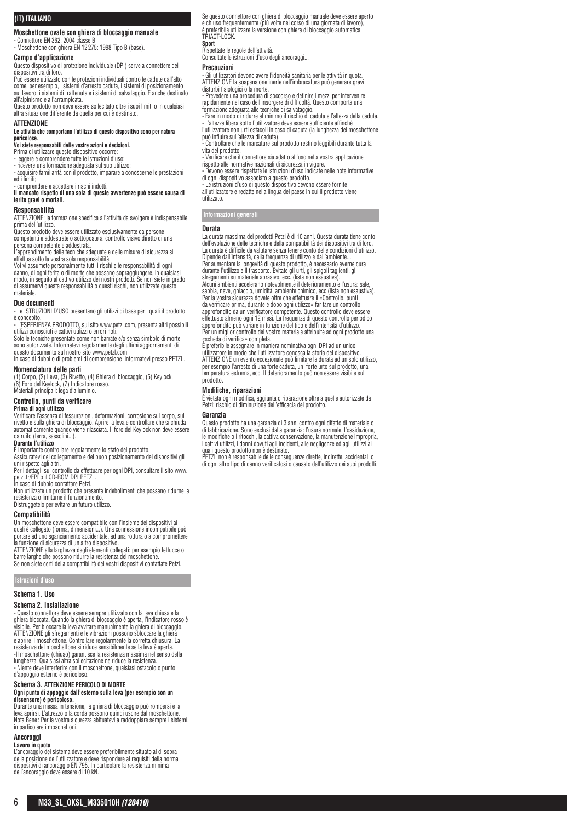# **(IT) ITALIANO**

# **Moschettone ovale con ghiera di bloccaggio manuale**

- Connettore EN 362: 2004 classe B - Moschettone con ghiera EN 12275: 1998 Tipo B (base).

# **Campo d'applicazione**

Questo dispositivo di protezione individuale (DPI) serve a connettere dei dispositivi tra di loro.

Può essere utilizzato con le protezioni individuali contro le cadute dall'alto come, per esempio, i sistemi d'arresto caduta, i sistemi di posizionamento sul lavoro, i sistemi di trattenuta e i sistemi di salvataggio. È anche destinato

all'alpinismo e all'arrampicata. Questo prodotto non deve essere sollecitato oltre i suoi limiti o in qualsiasi altra situazione differente da quella per cui è destinato.

#### **ATTENZIONE**

**Le attività che comportano l'utilizzo di questo dispositivo sono per natura pericolose.**

# **Voi siete responsabili delle vostre azioni e decisioni.**<br>Prima di utilizzare questo dispositivo occorre:<br>- leggere e comprendere tutte le istruzioni d'uso;

- ricevere una formazione adeguata sul suo utilizzo; - acquisire familiarità con il prodotto, imparare a conoscerne le prestazioni

ed i limiti;

# comprendere e accettare i rischi indotti. **Il mancato rispetto di una sola di queste avvertenze può essere causa di ferite gravi o mortali.**

#### **Responsabilità**

ATTENZIONE: la formazione specifica all'attività da svolgere è indispensabile prima dell'utilizzo.

Questo prodotto deve essere utilizzato esclusivamente da persone competenti e addestrate o sottoposte al controllo visivo diretto di una persona competente e addestrata.

L'apprendimento delle tecniche adeguate e delle misure di sicurezza si effettua sotto la vostra sola responsabilità.

Voi vi assumete personalmente tutti i rischi e le responsabilità di ogni danno, di ogni ferita o di morte che possano sopraggiungere, in qualsiasi modo, in seguito al cattivo utilizzo dei nostri prodotti. Se non siete in grado di assumervi questa responsabilità o questi rischi, non utilizzate questo materiale.

#### **Due documenti**

- Le ISTRUZIONI D'USO presentano gli utilizzi di base per i quali il prodotto è concepito.

e concepno.<br>- L'ESPERIENZA PRODOTTO, sul sito www.petzl.com, presenta altri possibili utilizzi conosciuti e cattivi utilizzi o errori noti.

Solo le tecniche presentate come non barrate e/o senza simbolo di morte sono autorizzate. Informatevi regolarmente degli ultimi aggiornamenti di questo documento sul nostro sito www.petzl.com In caso di dubbi o di problemi di comprensione informatevi presso PETZL.

**Nomenclatura delle parti**

(1) Corpo, (2) Leva, (3) Rivetto, (4) Ghiera di bloccaggio, (5) Keylock, (6) Foro del Keylock, (7) Indicatore rosso. Materiali principali: lega d'alluminio.

# **Controllo, punti da verificare**

#### **Prima di ogni utilizzo**

Verificare l'assenza di fessurazioni, deformazioni, corrosione sul corpo, sul rivetto e sulla ghiera di bloccaggio. Aprire la leva e controllare che si chiuda automaticamente quando viene rilasciata. Il foro del Keylock non deve essere ostruito (terra, sassolini...).

#### **Durante l'utilizzo**

È importante controllare regolarmente lo stato del prodotto.

Assicuratevi del collegamento e del buon posizionamento dei dispositivi gli uni rispetto agli altri.

Per i dettagli sul controllo da effettuare per ogni DPI, consultare il sito www. petzl.fr/EPI o il CD-ROM DPI PETZL.

In caso di dubbio contattare Petzl. Non utilizzate un prodotto che presenta indebolimenti che possano ridurne la resistenza o limitarne il funzionamento.

Distruggetelo per evitare un futuro utilizzo.

#### **Compatibilità**

Un moschettone deve essere compatibile con l'insieme dei dispositivi ai<br>quali è collegato (forma, dimensioni...). Una connessione incompatibile può<br>portare ad uno sganciamento accidentale, ad una rottura o a compromettere la funzione di sicurezza di un altro dispositivo.

ATTENZIONE alla larghezza degli elementi collegati: per esempio fettucce o barre larghe che possono ridurre la resistenza del moschettone. Se non siete certi della compatibilità dei vostri dispositivi contattate Petzl.

**Istruzioni d'uso**

#### **Schema 1. Uso**

#### **Schema 2. Installazione**

- Questo connettore deve essere sempre utilizzato con la leva chiusa e la<br>ghiera bloccata. Quando la ghiera di bloccaggio è aperta, l'indicatore rosso è<br>visibile. Per bloccare la leva avvitare manualmente la ghiera di bloc e aprire il moschettone. Controllare regolarmente la corretta chiusura. La resistenza del moschettone si riduce sensibilmente se la leva è aperta. -Il moschettone (chiuso) garantisce la resistenza massima nel senso della lunghezza. Qualsiasi altra sollecitazione ne riduce la resistenza. - Niente deve interferire con il moschettone, qualsiasi ostacolo o punto d'appoggio esterno è pericoloso.

# **Schema 3. ATTENZIONE PERICOLO DI MORTE Ogni punto di appoggio dall'esterno sulla leva (per esempio con un discensore) è pericoloso.**

Durante una messa in tensione, la ghiera di bloccaggio può rompersi e la leva aprirsi. L'attrezzo o la corda possono quindi uscire dal moschettone. Nota Bene : Per la vostra sicurezza abituatevi a raddoppiare sempre i sistemi, in particolare i moschettoni.

#### **Ancoraggi Lavoro in quota**

L'ancoraggio del sistema deve essere preferibilmente situato al di sopra<br>della posizione dell'utilizzatore e deve rispondere ai requisiti della norma<br>dispositivi di ancoraggio EN 795. In particolare la resistenza minima<br>de

Se questo connettore con ghiera di bloccaggio manuale deve essere aperto e chiuso frequentemente (più volte nel corso di una giornata di lavoro), è preferibile utilizzare la versione con ghiera di bloccaggio automatica TRIACT-LOCK.

**Sport**

Rispettate le regole dell'attività. Consultate le istruzioni d'uso degli ancoraggi...

#### **Precauzioni**

- Gli utilizzatori devono avere l'idoneità sanitaria per le attività in quota. ATTENZIONE la sospensione inerte nell'imbracatura può generare gravi disturbi fisiologici o la morte. - Prevedere una procedura di soccorso e definire i mezzi per intervenire

rapidamente nel caso dell'insorgere di difficoltà. Questo comporta una formazione adeguata alle tecniche di salvataggio. - Fare in modo di ridurre al minimo il rischio di caduta e l'altezza della caduta.

- L'altezza libera sotto l'utilizzatore deve essere sufficiente affinché l'utilizzatore non urti ostacoli in caso di caduta (la lunghezza del moschettone può influire sull'altezza di caduta).

- Controllare che le marcature sul prodotto restino leggibili durante tutta la vita del prodotto.

- Verificare che il connettore sia adatto all'uso nella vostra applicazione rispetto alle normative nazionali di sicurezza in vigore.

- Devono essere rispettate le istruzioni d'uso indicate nelle note informative di ogni dispositivo associato a questo prodotto.

- Le istruzioni d'uso di questo dispositivo devono essere fornite all'utilizzatore e redatte nella lingua del paese in cui il prodotto viene utilizzato.

# **Informazioni generali**

#### **Durata**

La durata massima dei prodotti Petzl è di 10 anni. Questa durata tiene conto dell'evoluzione delle tecniche e della compatibilità dei dispositivi tra di loro. La durata è difficile da valutare senza tenere conto delle condizioni d'utilizzo. Dipende dall'intensità, dalla frequenza di utilizzo e dall'ambiente... Per aumentare la longevità di questo prodotto, è necessario averne cura durante l'utilizzo e il trasporto. Evitate gli urti, gli spigoli taglienti, gli sfregamenti su materiale abrasivo, ecc. (lista non esaustiva). Alcuni ambienti accelerano notevolmente il deterioramento e l'usura: sale, sabbia, neve, ghiaccio, umidità, ambiente chimico, ecc (lista non esaustiva). Per la vostra sicurezza dovete oltre che effettuare il «Controllo, punti da verificare prima, durante e dopo ogni utilizzo» far fare un controllo approfondito da un verificatore competente. Questo controllo deve essere effettuato almeno ogni 12 mesi. La frequenza di questo controllo periodico approfondito può variare in funzione del tipo e dell'intensità d'utilizzo. Per un miglior controllo del vostro materiale attribuite ad ogni prodotto una «scheda di verifica» completa.

È preferibile assegnare in maniera nominativa ogni DPI ad un unico utilizzatore in modo che l'utilizzatore conosca la storia del dispositivo. ATTENZIONE un evento eccezionale può limitare la durata ad un solo utilizzo, per esempio l'arresto di una forte caduta, un forte urto sul prodotto, una temperatura estrema, ecc. Il deterioramento può non essere visibile sul prodotto.

# **Modifiche, riparazioni**

È vietata ogni modifica, aggiunta o riparazione oltre a quelle autorizzate da Petzl: rischio di diminuzione dell'efficacia del prodotto.

#### **Garanzia**

Questo prodotto ha una garanzia di 3 anni contro ogni difetto di materiale o di fabbricazione. Sono esclusi dalla garanzia: l'usura normale, l'ossidazione, le modifiche o i ritocchi, la cattiva conservazione, la manutenzione impropria, i cattivi utilizzi, i danni dovuti agli incidenti, alle negligenze ed agli utilizzi ai

quali questo prodotto non è destinato. PETZL non è responsabile delle conseguenze dirette, indirette, accidentali o di ogni altro tipo di danno verificatosi o causato dall'utilizzo dei suoi prodotti.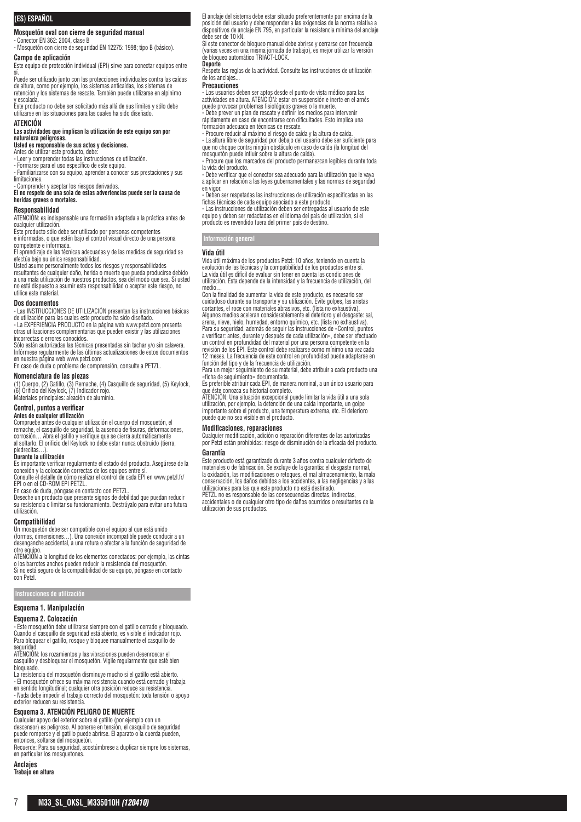# **(ES) ESPAÑOL**

**Mosquetón oval con cierre de seguridad manual**

- Conector EN 362: 2004, clase B - Mosquetón con cierre de seguridad EN 12275: 1998; tipo B (básico).

**Campo de aplicación**

Este equipo de protección individual (EPI) sirve para conectar equipos entre

si.<br>Puede ser utilizado junto con las protecciones individuales contra las caídas de altura, como por ejemplo, los sistemas anticaídas, los sistemas de retención y los sistemas de rescate. También puede utilizarse en alpinimo

y escalada. Este producto no debe ser solicitado más allá de sus límites y sólo debe utilizarse en las situaciones para las cuales ha sido diseñado.

#### **ATENCIÓN**

**Las actividades que implican la utilización de este equipo son por naturaleza peligrosas.**

# **Usted es responsable de sus actos y decisiones.**

Antes de utilizar este producto, debe: - Leer y comprender todas las instrucciones de utilización.

- Formarse para el uso específico de este equipo. - Familiarizarse con su equipo, aprender a conocer sus prestaciones y sus limitaciones.

- Comprender y aceptar los riesgos derivados. **El no respeto de una sola de estas advertencias puede ser la causa de heridas graves o mortales.**

# **Responsabilidad**

ATENCIÓN: es indispensable una formación adaptada a la práctica antes de cualquier utilización.

Este producto sólo debe ser utilizado por personas competentes e informadas, o que estén bajo el control visual directo de una persona

competente e informada.

El aprendizaje de las técnicas adecuadas y de las medidas de seguridad se

efectúa bajo su única responsabilidad. Usted asume personalmente todos los riesgos y responsabilidades resultantes de cualquier daño, herida o muerte que pueda producirse debido a una mala utilización de nuestros productos, sea del modo que sea. Si usted

no está dispuesto a asumir esta responsabilidad o aceptar este riesgo, no utilice este material.

#### **Dos documentos**

- Las INSTRUCCIONES DE UTILIZACION presentan las instrucciones básicas<br>de utilización para las cuales este producto ha sido diseñado.<br>- La EXPERIENCIA PRODUCTO en la página web www.petzl.com presenta

otras utilizaciones complementarias que pueden existir y las utilizaciones incorrectas o errores conocidos.

Sólo están autorizadas las técnicas presentadas sin tachar y/o sin calavera. Infórmese regularmente de las últimas actualizaciones de estos documentos en nuestra página web www.petzl.com

En caso de duda o problema de comprensión, consulte a PETZL.

# **Nomenclatura de las piezas**

(1) Cuerpo, (2) Gatillo, (3) Remache, (4) Casquillo de seguridad, (5) Keylock, (6) Orificio del Keylock, (7) Indicador rojo.

# Materiales principales: aleación de aluminio.

#### **Control, puntos a verificar Antes de cualquier utilización**

Compruebe antes de cualquier utilización el cuerpo del mosquetón, el remache, el casquillo de seguridad, la ausencia de fisuras, deformaciones, corrosión… Abra el gatillo y verifique que se cierra automáticamente al soltarlo. El orificio del Keylock no debe estar nunca obstruido (tierra,

# piedrecitas…). **Durante la utilización**

Es importante verificar regularmente el estado del producto. Asegúrese de la conexión y la colocación correctas de los equipos entre sí. Consulte el detalle de cómo realizar el control de cada EPI en www.petzl.fr/

# EPI o en el CD-ROM EPI PETZL. En caso de duda, póngase en contacto con PETZL.

Deseche un producto que presente signos de debilidad que puedan reducir su resistencia o limitar su funcionamiento. Destrúyalo para evitar una futura utilización.

## **Compatibilidad**

Un mosquetón debe ser compatible con el equipo al que está unido (formas, dimensiones…). Una conexión incompatible puede conducir a un desenganche accidental, a una rotura o afectar a la función de seguridad de

otro equipo. ATENCIÓN a la longitud de los elementos conectados: por ejemplo, las cintas o los barrotes anchos pueden reducir la resistencia del mosquetón. Si no está seguro de la compatibilidad de su equipo, póngase en contacto con Petzl.

#### **Instrucciones de utilización**

#### **Esquema 1. Manipulación**

#### **Esquema 2. Colocación**

- Este mosquetón debe utilizarse siempre con el gatillo cerrado y bloqueado. Cuando el casquillo de seguridad está abierto, es visible el indicador rojo. Para bloquear el gatillo, rosque y bloquee manualmente el casquillo de seguridad

ATENCIÓN: los rozamientos y las vibraciones pueden desenroscar el casquillo y desbloquear el mosquetón. Vigile regularmente que esté bien bloqueado.

La resistencia del mosquetón disminuye mucho si el gatillo está abierto.

- El mosquetón ofrece su máxima resistencia cuando está cerrado y trabaja<br>en sentido longitudinal; cualquier otra posición reduce su resistencia.<br>- Nada debe impedir el trabajo correcto del mosquetón: toda tensión o apoyo<br>

#### **Esquema 3. ATENCIÓN PELIGRO DE MUERTE**

Cualquier apoyo del exterior sobre el gatillo (por ejemplo con un descensor) es peligroso. Al ponerse en tensión, el casquillo de seguridad puede romperse y el gatillo puede abrirse. El aparato o la cuerda pueden, entonces, soltarse del mosquetón.<br>
entonces, soltarse del mosquetón.<br>
entonces, soltarse del mosquetón.

Recuerde: Para su seguridad, acostúmbrese a duplicar siempre los sistemas, en particular los mosquetones

# **Anclajes**

**Trabajo en altura**

El anclaje del sistema debe estar situado preferentemente por encima de la posición del usuario y debe responder a las exigencias de la norma relativa a dispositivos de anclaje EN 795, en particular la resistencia mínima del anclaje debe ser de 10 kN.

Si este conector de bloqueo manual debe abrirse y cerrarse con frecuencia (varias veces en una misma jornada de trabajo), es mejor utilizar la versión de bloqueo automático TRIACT-LOCK.

#### **Deporte**

Respete las reglas de la actividad. Consulte las instrucciones de utilización de los anclajes

### **Precauciones**

- Los usuarios deben ser aptos desde el punto de vista médico para las actividades en altura. ATENCIÓN: estar en suspensión e inerte en el arnés

puede provocar problemas fisiológicos graves o la muerte. - Debe prever un plan de rescate y definir los medios para intervenir rápidamente en caso de encontrarse con dificultades. Esto implica una formación adecuada en técnicas de rescate.

- Procure reducir al máximo el riesgo de caída y la altura de caída. - La altura libre de seguridad por debajo del usuario debe ser suficiente para

que no choque contra ningún obstáculo en caso de caída (la longitud del mosquetón puede influir sobre la altura de caída). - Procure que los marcados del producto permanezcan legibles durante toda

la vida del producto.

- Debe verificar que el conector sea adecuado para la utilización que le vaya a aplicar en relación a las leyes gubernamentales y las normas de seguridad en vigor.

- Deben ser respetadas las instrucciones de utilización especificadas en las

fichas técnicas de cada equipo asociado a este producto.<br>- Las instrucciones de utilización deben ser entregadas al usuario de este<br>equipo y deben ser redactadas en el idioma del país de utilización, si el<br>producto es reve

## **Información general**

#### **Vida útil**

Vida útil máxima de los productos Petzl: 10 años, teniendo en cuenta la evolución de las técnicas y la compatibilidad de los productos entre sí. La vida útil es difícil de evaluar sin tener en cuenta las condiciones de utilización. Ésta depende de la intensidad y la frecuencia de utilización, del medio…

Con la finalidad de aumentar la vida de este producto, es necesario ser cuidadoso durante su transporte y su utilización. Evite golpes, las aristas cortantes, el roce con materiales abrasivos, etc. (lista no exhaustiva). Algunos medios aceleran considerablemente el deterioro y el desgaste: sal, arena, nieve, hielo, humedad, entorno químico, etc. (lista no exhaustiva). Para su seguridad, además de seguir las instrucciones de «Control, puntos a verificar: antes, durante y después de cada utilización», debe ser efectuado un control en profundidad del material por una persona competente en la revisión de los EPI. Este control debe realizarse como mínimo una vez cada 12 meses. La frecuencia de este control en profundidad puede adaptarse en función del tipo y de la frecuencia de utilización.

Para un mejor seguimiento de su material, debe atribuir a cada producto una «ficha de seguimiento» documentada.

Es preferible atribuir cada EPI, de manera nominal, a un único usuario para

que éste conozca su historial completo. ATENCIÓN: Una situación excepcional puede limitar la vida útil a una sola utilización, por ejemplo, la detención de una caída importante, un golpe importante sobre el producto, una temperatura extrema, etc. El deterioro puede que no sea visible en el producto.

#### **Modificaciones, reparaciones**

Cualquier modificación, adición o reparación diferentes de las autorizadas por Petzl están prohibidas: riesgo de disminución de la eficacia del producto.

### **Garantía**

Este producto está garantizado durante 3 años contra cualquier defecto de materiales o de fabricación. Se excluye de la garantía: el desgaste normal, la oxidación, las modificaciones o retoques, el mal almacenamiento, la mala conservación, los daños debidos a los accidentes, a las negligencias y a las utilizaciones para las que este producto no está destinado.

PETZL no es responsable de las consecuencias directas, indirectas, accidentales o de cualquier otro tipo de daños ocurridos o resultantes de la utilización de sus productos.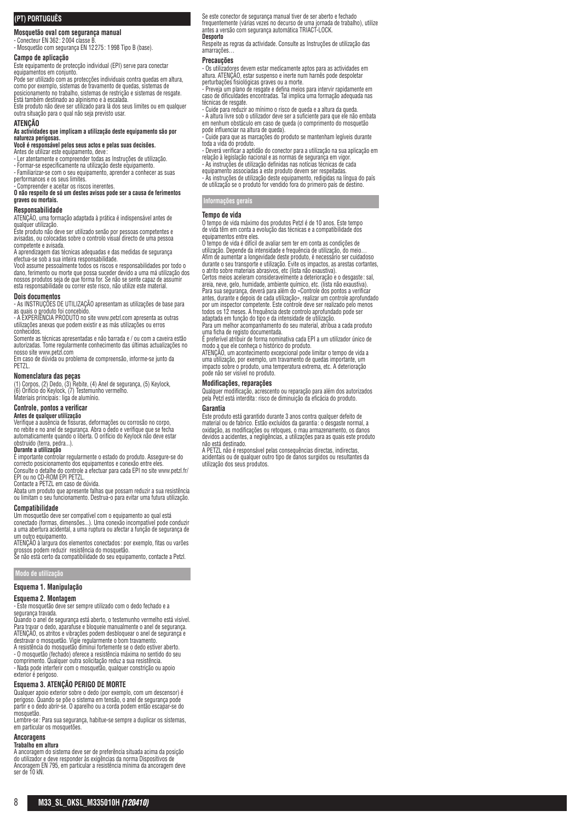# **(PT) PORTUGUÊS**

# **Mosquetão oval com segurança manual**

- Conecteur EN 362 : 2004 classe B. - Mosquetão com segurança EN 12275: 1998 Tipo B (base).

**Campo de aplicação**

Este equipamento de protecção individual (EPI) serve para conectar equipamentos em conjunto.

Pode ser utilizado com as protecções individuais contra quedas em altura, como por exemplo, sistemas de travamento de quedas, sistemas de posicionamento no trabalho, sistemas de restrição e sistemas de resgate. Está também destinado ao alpinismo e à escalada. Este produto não deve ser utilizado para lá dos seus limites ou em qualquer

outra situação para o qual não seja previsto usar.

# **ATENÇÃO**

**As actividades que implicam a utilização deste equipamento são por natureza perigosas. Você é responsável pelos seus actos e pelas suas decisões.**

Antes de utilizar este equipamento, deve :<br>- Ler atentamente e compreender todas as Instruções de utilização.

- Formar-se especificamente na utilização deste equipamento. - Familiarizar-se com o seu equipamento, aprender a conhecer as suas

performances e os seus limites.

- Compreender e aceitar os riscos inerentes. **O não respeito de só um destes avisos pode ser a causa de ferimentos graves ou mortais.**

#### **Responsabilidade**

ATENÇÃO, uma formação adaptada à prática é indispensável antes de qualquer utilização.

Este produto não deve ser utilizado senão por pessoas competentes e avisadas, ou colocadas sobre o controlo visual directo de uma pessoa competente e avisada.

A aprendizagem das técnicas adequadas e das medidas de segurança

efectua-se sob a sua inteira responsabilidade. Você assume pessoalmente todos os riscos e responsabilidades por todo o dano, ferimento ou morte que possa suceder devido a uma má utilização dos nossos produtos seja de que forma for. Se não se sente capaz de assumir esta responsabilidade ou correr este risco, não utilize este material.

#### **Dois documentos**

- As INSTRUÇÕES DE UTILIZAÇÃO apresentam as utilizações de base para as quais o produto foi concebido. - A EXPERIÊNCIA PRODUTO no site www.petzl.com apresenta as outras

utilizações anexas que podem existir e as más utilizações ou erros conhecidos.

Somente as técnicas apresentadas e não barrada e / ou com a caveira estão autorizadas. Tome regularmente conhecimento das últimas actualizações no

nosso site www.petzl.com Em caso de dúvida ou problema de compreensão, informe-se junto da PET<sub>71</sub>

**Nomenclatura das peças**<br>(1) Corpos, (2) Dedo, (3) Rebite, (4) Anel de segurança, (5) Keylock,<br>(6) Orifício do Keylock, (7) Testemunho vermelho. Materiais principais : liga de alumínio.

#### **Controle, pontos a verificar**

#### **Antes de qualquer utilização**

Verifique a ausência de fissuras, deformações ou corrosão no corpo, no rebite e no anel de segurança. Abra o dedo e verifique que se fecha automaticamente quando o liberta. O orifício do Keylock não deve estar

#### obstruido (terra, pedra...). **Durante a utilização**

É importante controlar regularmente o estado do produto. Assegure-se do correcto posicionamento dos equipamentos e conexão entre eles. Consulte o detalhe do controle a efectuar para cada EPI no site www.petzl.fr/ EPI ou no CD-ROM EPI PETZL.

Contacte a PETZL em caso de dúvida. Abata um produto que apresente falhas que possam reduzir a sua resistência ou limitam o seu funcionamento. Destrua-o para evitar uma futura utilização.

#### **Compatibilidade**

Um mosquetão deve ser compatível com o equipamento ao qual está conectado (formas, dimensões...). Uma conexão incompatível pode conduzir a uma abertura acidental, a uma ruptura ou afectar a função de segurança de um outro equipamento.

ATENÇAO à largura dos elementos conectados: por exemplo, fitas ou varões<br>grossos podem reduzir resistência do mosquetão.<br>Se não está certo da compatibilidade do seu equipamento, contacte a Petzl.

**Modo de utilização**

#### **Esquema 1. Manipulação**

#### **Esquema 2. Montagem**

- Este mosquetão deve ser sempre utilizado com o dedo fechado e a segurança travada.

Quando o anel de segurança está aberto, o testemunho vermelho está visível. Para travar o dedo, aparafuse e bloqueie manualmente o anel de segurança. ATENÇÃO, os atritos e vibrações podem desbloquear o anel de segurança e destravar o mosquetão. Vigie regularmente o bom travamento. A resistência do mosquetão diminui fortemente se o dedo estiver aberto.

- O mosquetão (fechado) oferece a resistência máxima no sentido do seu comprimento. Qualquer outra solicitação reduz a sua resistência. - Nada pode interferir com o mosquetão, qualquer constrição ou apoio

#### exterior é perigoso. **Esquema 3. ATENÇÃO PERIGO DE MORTE**

Qualquer apoio exterior sobre o dedo (por exemplo, com um descensor) é perigoso. Quando se põe o sistema em tensão, o anel de segurança pode partir e o dedo abrir-se. O aparelho ou a corda podem então escapar-se do mosquetão.

Lembre-se : Para sua segurança, habitue-se sempre a duplicar os sistemas, em particular os mosquetões.

#### **Ancoragens Trabalho em altura**

A ancoragem do sistema deve ser de preferência situada acima da posição do utilizador e deve responder às exigências da norma Dispositivos de Ancoragem EN 795, em particular a resistência mínima da ancoragem deve ser de 10 kN.

Se este conector de segurança manual tiver de ser aberto e fechado frequentemente (várias vezes no decurso de uma jornada de trabalho), utilize antes a versão com segurança automática TRIACT-LOCK. **Desporto**

Respeite as regras da actividade. Consulte as Instruções de utilização das amarrações…

#### **Precauções**

- Os utilizadores devem estar medicamente aptos para as actividades em altura. ATENÇÃO, estar suspenso e inerte num harnês pode despoletar perturbações fisiológicas graves ou a morte.

- Preveja um plano de resgate e defina meios para intervir rapidamente em caso de dificuldades encontradas. Tal implica uma formação adequada nas

técnicas de resgate. - Cuide para reduzir ao mínimo o risco de queda e a altura da queda. - A altura livre sob o utilizador deve ser a suficiente para que ele não embata em nenhum obstáculo em caso de queda (o comprimento do mosquetão pode influenciar na altura de queda).

- Cuide para que as marcações do produto se mantenham legíveis durante toda a vida do produto.

- Deverá verificar a aptidão do conector para a utilização na sua aplicação em relação à legislação nacional e as normas de segurança em vigo - As instruções de utilização definidas nas notícias técnicas de cada

equipamento associadas a este produto devem ser respeitadas. - As instruções de utilização deste equipamento, redigidas na língua do país de utilização se o produto for vendido fora do primeiro país de destino.

**Informações gerais**

#### **Tempo de vida**

O tempo de vida máximo dos produtos Petzl é de 10 anos. Este tempo de vida têm em conta a evolução das técnicas e a compatibilidade dos

equipamentos entre eles. O tempo de vida é difícil de avaliar sem ter em conta as condições de utilização. Depende da intensidade e frequência de utilização, do meio… Afim de aumentar a longevidade deste produto, é necessário ser cuidadoso durante o seu transporte e utilização. Evite os impactos, as arestas cortantes, o atrito sobre materiais abrasivos, etc (lista não exaustiva). Certos meios aceleram consideravelmente a deterioração e o desgaste: sal

areia, neve, gelo, humidade, ambiente químico, etc. (lista não exaustiva). Para sua segurança, deverá para além do «Controle dos pontos a verificar antes, durante e depois de cada utilização», realizar um controle aprofundado por um inspector competente. Este controle deve ser realizado pelo menos

todos os 12 meses. A frequência deste controlo aprofundado pode ser<br>adaptada em função do tipo e da intensidade de utilização.<br>Para um melhor acompanhamento do seu material, atribua a cada produto<br>uma ficha de registo docu

E preferivel atribuir de forma nominativa cada EPI a um utilizador único de<br>modo a que ele conheça o histórico do produto.<br>ATENÇÃO, um acontecimento excepcional pode limitar o tempo de vida a<br>uma utilização, por exemplo, u

impacto sobre o produto, uma temperatura extrema, etc. A deterioração pode não ser visível no produto.

#### **Modificações, reparações**

Qualquer modificação, acrescento ou reparação para além dos autorizados pela Petzl está interdita : risco de diminuição da eficácia do produto.

#### **Garantia**

Este produto está garantido durante 3 anos contra qualquer defeito de material ou de fabrico. Estão excluídos da garantia : o desgaste normal, a oxidação, as modificações ou retoques, o mau armazenamento, os danos devidos a acidentes, a negligências, a utilizações para as quais este produto não está destinado.

A PETZL não é responsável pelas consequências directas, indirectas, acidentais ou de qualquer outro tipo de danos surgidos ou resultantes da utilização dos seus produtos.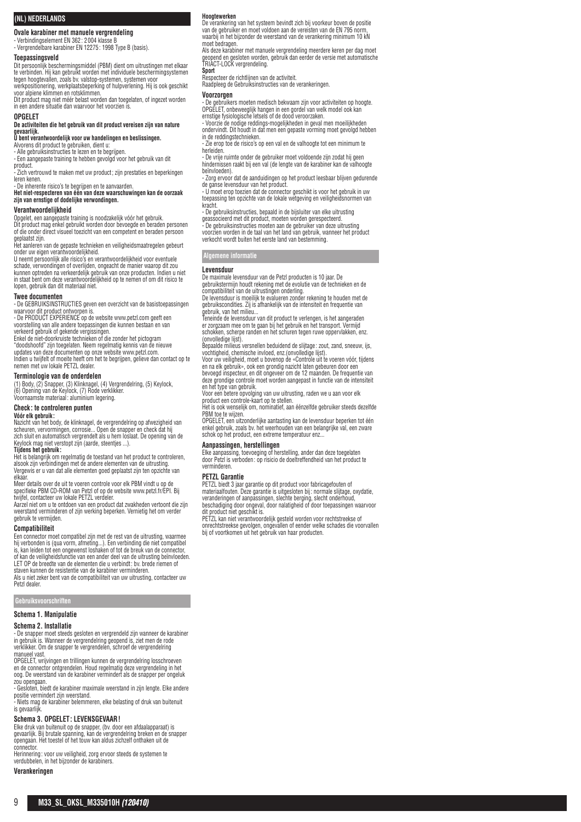## **(NL) NEDERLANDS**

**Ovale karabiner met manuele vergrendeling**

- Verbindingselement EN 362: 2004 klasse B - Vergrendelbare karabiner EN 12275: 1998 Type B (basis).

### **Toepassingsveld**

Dit persoonlijk beschermingsmiddel (PBM) dient om uitrustingen met elkaar te verbinden. Hij kan gebruikt worden met individuele beschermingsystemen tegen hoogtevallen, zoals bv. valstop-systemen, systemen voor werkpositionering, werkplaatsbeperking of hulpverlening. Hij is ook geschikt voor alpiene klimmen en rotsklimmen.

Dit product mag niet méér belast worden dan toegelaten, of ingezet worden in een andere situatie dan waarvoor het voorzien is.

#### **OPGELET**

**De activiteiten die het gebruik van dit product vereisen zijn van nature gevaarlijk. U bent verantwoordelijk voor uw handelingen en beslissingen.**

Alvorens dit product te gebruiken, dient u:

- Alle gebruiksinstructies te lezen en te begrijpen. - Een aangepaste training te hebben gevolgd voor het gebruik van dit

product. - Zich vertrouwd te maken met uw product; zijn prestaties en beperkingen<br>Jeren kenen

leren kenen.<br>- De inherente risico's te begrijpen en te aanvaarden.<br>**Het niet-respecteren van één van deze waarschuwingen kan de oorzaak**<br>**zijn van ernstige of dodelijke verwondingen.** 

#### **Verantwoordelijkheid**

Opgelet, een aangepaste training is noodzakelijk vóór het gebruik. Dit product mag enkel gebruikt worden door bevoegde en beraden personen of die onder direct visueel toezicht van een competent en beraden persoon

geplaatst zijn. Het aanleren van de gepaste technieken en veiligheidsmaatregelen gebeurt

onder uw eigen verantwoordelijkheid. U neemt persoonlijk alle risico's en verantwoordelijkheid voor eventuele schade, verwondingen of overlijden, ongeacht de manier waarop dit zou kunnen optreden na verkeerdelijk gebruik van onze producten. Indien u niet in staat bent om deze verantwoordelijkheid op te nemen of om dit risico te lopen, gebruik dan dit materiaal niet.

#### **Twee documenten**

- De GEBRUIKSINSTRUCTIES geven een overzicht van de basistoepassingen waarvoor dit product ontworpen is. - De PRODUCT EXPERIENCE op de website www.petzl.com geeft een

voorstelling van alle andere toepassingen die kunnen bestaan en van verkeerd gebruik of gekende vergissingen.

Enkel de niet-doorkruiste technieken of die zonder het pictogram "doodshoofd" zijn toegelaten. Neem regelmatig kennis van de nieuwe updates van deze documenten op onze website www.petzl.com. Indien u twijfelt of moeite heeft om het te begrijpen, gelieve dan contact op te

nemen met uw lokale PETZL dealer.

#### **Terminologie van de onderdelen**

(1) Body, (2) Snapper, (3) Klinknagel, (4) Vergrendelring, (5) Keylock, (6) Opening van de Keylock, (7) Rode verklikker. Voornaamste materiaal: aluminium legering.

### **Check : te controleren punten**

#### **Vóór elk gebruik :**

Nazicht van het body, de klinknagel, de vergrendelring op afwezigheid van scheuren, vervormingen, corrosie... Open de snapper en check dat hij zich sluit en automatisch vergrendelt als u hem loslaat. De opening van de Keylock mag niet verstopt zijn (aarde, steentjes ...).

#### **Tijdens het gebruik :**

Het is belangrijk om regelmatig de toestand van het product te controleren,<br>alsook zijn verbindingen met de andere elementen van de uitrusting.<br>Vergewis er u van dat alle elementen goed geplaatst zijn ten opzichte van elkaar.

Meer details over de uit te voeren controle voor elk PBM vindt u op de specifieke PBM CD-ROM van Petzl of op de website www.petzl.fr/EPI. Bij twijfel, contacteer uw lokale PETZL verdeler.

Aarzel niet om u te ontdoen van een product dat zwakheden vertoont die zijn weerstand verminderen of zijn werking beperken. Vernietig het om verder gebruik te vermijden.

#### **Compatibiliteit**

Een connector moet compatibel zijn met de rest van de uitrusting, waarmee

hij verbonden is (qua vorm, afmeting...). Een verbinding die niet compatibel<br>is, kan leiden tot een ongewenst loshaken of tot de breuk van de connector,<br>of kan de veiligheidsfunctie van een ander deel van de uitrusting beï

LET OP de breedte van de elementen die u verbindt: bv. brede riemen of staven kunnen de resistentie van de karabiner verminderen. Als u niet zeker bent van de compatibiliteit van uw uitrusting, contacteer uw

Petzl dealer.

# **Gebruiksvoorschriften**

# **Schema 1. Manipulatie**

### **Schema 2. Installatie**

- De snapper moet steeds gesloten en vergrendeld zijn wanneer de karabiner in gebruik is. Wanneer de vergrendelring geopend is, ziet men de rode verklikker. Om de snapper te vergrendelen, schroef de vergrendelring

manueel vast. OPGELET, wrijvingen en trillingen kunnen de vergrendelring losschroeven en de connector ontgrendelen. Houd regelmatig deze vergrendeling in het oog. De weerstand van de karabiner vermindert als de snapper per ongeluk zou opengaan.

- Gesloten, biedt de karabiner maximale weerstand in zijn lengte. Elke andere positie vermindert zijn weerstand. - Niets mag de karabiner belemmeren, elke belasting of druk van buitenuit

is gevaarlijk.

## **Schema 3. OPGELET: LEVENSGEVAAR!**

Elke druk van buitenuit op de snapper, (bv. door een afdaalapparaat) is<br>gevaarlijk. Bij brutale spanning, kan de vergrendelring breken en de snapper<br>opengaan. Het toestel of het touw kan aldus zichzelf onthaken uit de connector.

Herinnering: voor uw veiligheid, zorg ervoor steeds de systemen te verdubbelen, in het bijzonder de karabiners.

# **Verankeringen**

# **Hoogtewerken**

De verankering van het systeem bevindt zich bij voorkeur boven de positie van de gebruiker en moet voldoen aan de vereisten van de EN 795 n waarbij in het bijzonder de weerstand van de verankering minimum 10 kN

moet bedragen. Als deze karabiner met manuele vergrendeling meerdere keren per dag moet geopend en gesloten worden, gebruik dan eerder de versie met automatische TRIACT-LOCK vergrendeling. **Sport**

Respecteer de richtlijnen van de activiteit. Raadpleeg de Gebruiksinstructies van de verankeringen.

#### **Voorzorgen**

- De gebruikers moeten medisch bekwaam zijn voor activiteiten op hoogte. OPGELET, onbeweeglijk hangen in een gordel van welk model ook kan ernstige fysiologische letsels of de dood veroorzaken.

- Voorzie de nodige reddings-mogelijkheden in geval men moeilijkheden ondervindt. Dit houdt in dat men een gepaste vorming moet gevolgd hebben in de reddingstechnieken.

- Zie erop toe de risico's op een val en de valhoogte tot een minimum te herleiden.

- De vrije ruimte onder de gebruiker moet voldoende zijn zodat hij geen hindernissen raakt bij een val (de lengte van de karabiner kan de valhoogte beïnvloeden).

- Zorg ervoor dat de aanduidingen op het product leesbaar blijven gedurende

de ganse levensduur van het product. - U moet erop toezien dat de connector geschikt is voor het gebruik in uw toepassing ten opzichte van de lokale wetgeving en veiligheidsnormen van kracht.

- De gebruiksinstructies, bepaald in de bijsluiter van elke uitrusting geassocieerd met dit product, moeten worden gerespecteerd.

- De gebruiksinstructies moeten aan de gebruiker van deze uitrusting voorzien worden in de taal van het land van gebruik, wanneer het product verkocht wordt buiten het eerste land van bestemming.

# **Algemene informatie**

### **Levensduur**

De maximale levensduur van de Petzl producten is 10 jaar. De gebruikstermijn houdt rekening met de evolutie van de technieken en de compatibiliteit van de uitrustingen onderling.

De levensduur is moeilijk te evalueren zonder rekening te houden met de gebruikscondities. Zij is afhankelijk van de intensiteit en frequentie van gebruik, van het milieu.

Teneinde de levensduur van dit product te verlengen, is het aangeraden

er zorgzaam mee om te gaan bij het gebruik en het transport. Vermijd schokken, scherpe randen en het schuren tegen ruwe oppervlakken, enz. (onvolledige lijst). Bepaalde milieus versnellen beduidend de slijtage : zout, zand, sneeuw, ijs,

vochtigheid, chemische invloed, enz.(onvolledige lijst). Voor uw veiligheid, moet u bovenop de «Controle uit te voeren vóór, tijdens

en na elk gebruik», ook een grondig nazicht laten gebeuren door een bevoegd inspecteur, en dit ongeveer om de 12 maanden. De frequentie van deze grondige controle moet worden aangepast in functie van de intensiteit

en het type van gebruik. Voor een betere opvolging van uw uitrusting, raden we u aan voor elk product een controle-kaart op te stellen.

Het is ook wenselijk om, nominatief, aan éénzelfde gebruiker steeds dezelfde PBM toe te wijzen.

OPGELET, een uitzonderlijke aantasting kan de levensduur beperken tot één enkel gebruik, zoals bv. het weerhouden van een belangrijke val, een zware schok op het product, een extreme temperatuur enz...

**Aanpassingen, herstellingen** Elke aanpassing, toevoeging of herstelling, ander dan deze toegelaten door Petzl is verboden: op risicio de doeltreffendheid van het product te verminderen.

#### **PETZL Garantie**

PETZL biedt 3 jaar garantie op dit product voor fabricagefouten of

materiaalfouten. Deze garantie is uitgesloten bij: normale slijtage, oxydatie,<br>veranderingen of aanpassingen, slechte berging, slecht onderhoud,<br>beschadiging door ongeval, door nalatigheid of door toepassingen waarvoor

dit product niet geschikt is. PETZL kan niet verantwoordelijk gesteld worden voor rechtstreekse of onrechtstreekse gevolgen, ongevallen of eender welke schades die voorvallen bij of voortkomen uit het gebruik van haar producten.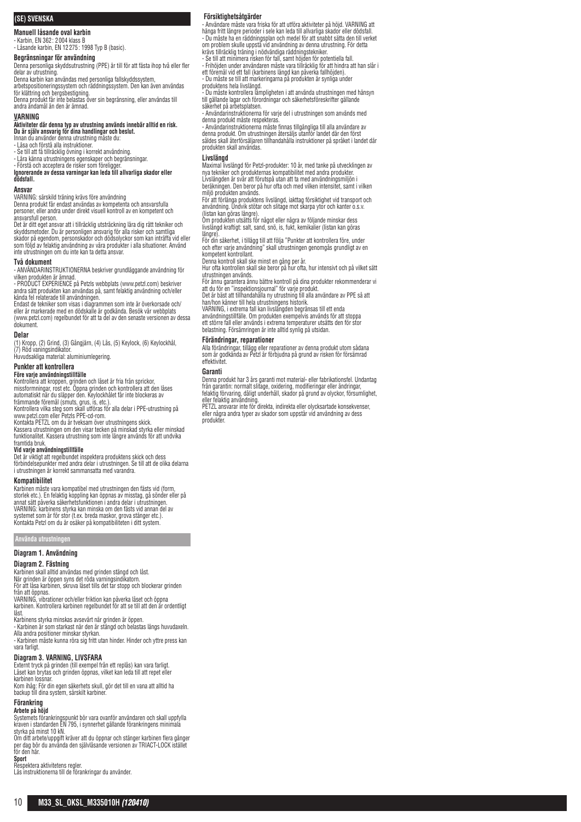# **(SE) SVENSKA**

**Manuell låsande oval karbin**

- Karbin, EN 362 : 2004 klass B - Låsande karbin, EN 12275 : 1998 Typ B (basic).

# **Begränsningar för användning**

Denna personliga skyddsutrustning (PPE) är till för att fästa ihop två eller fler delar av utrustning.

Denna karbin kan användas med personliga fallskyddssystem, arbetspositioneringssystem och räddningssystem. Den kan även användas för klättring och bergsbestigning.

Denna produkt får inte belastas över sin begränsning, eller användas till andra ändamål än den är ämnad.

### **VARNING**

**Aktiviteter där denna typ av utrustning används innebär alltid en risk.**<br>Du <mark>är själv ansvarig för dina handlingar och beslut.</mark><br>Innan du använder denna utrustning måste du:

- Läsa och förstå alla instruktioner.

- Se till att få tillräcklig övning i korrekt användning. - Lära känna utrustningens egenskaper och begränsningar.

- Forsta och acceptera de risker som föreligger.<br>**Ignorerande av dessa varningar kan leda till allvarliga skador eller**<br>**dödsfall.** 

#### **Ansvar**

VARNING: särskild träning krävs före användning Denna produkt får endast användas av kompetenta och ansvarsfulla personer, eller andra under direkt visuell kontroll av en kompetent och ansvarsfull person.

Det är ditt eget ansvar att i tillräcklig utsträckning lära dig rätt tekniker och skyddsmetoder. Du är personligen ansvarig för alla risker och samtliga<br>skador på egendom, personskador och dödsolyckor som kan inträfta vid eller<br>som följd av felaktig användning av våra produkter i alla situationer. Använ inte utrustningen om du inte kan ta detta ansvar.

#### **Två dokument**

- ANVÄNDARINSTRUKTIONERNA beskriver grundläggande användning för vilken produkten är ämnad. - PRODUCT EXPERIENCE på Petzls webbplats (www.petzl.com) beskriver

andra sätt produkten kan användas på, samt felaktig användning och/eller kända fel relaterade till användningen. Endast de tekniker som visas i diagrammen som inte är överkorsade och/

eller är markerade med en dödskalle är godkända. Besök vår webbplats (www.petzl.com) regelbundet för att ta del av den senaste versionen av dessa dokument.

**Delar**<br>(1) Kropp, (2) Grind, (3) Gångjärn, (4) Lås, (5) Keylock, (6) Keylockhål,<br>(7) Röd vaningsindikator.

Huvudsakliga material: aluminiumlegering.

# **Punkter att kontrollera**

**Före varje användningstillfälle**<br>Kontrollera att kroppen, grinden och låset är fria från sprickor,<br>missformningar, rost etc. Öppna grinden och kontrollera att den låses<br>automatiskt när du släpper den. Keylockhålet får int

främmande föremål (smuts, grus, is, etc.).<br>Kontrollera vilka steg som skall utföras för alla delar i PPE-utrustning på<br>www.petzl.com eller Petzls PPE-cd-rom.<br>Kontakta PETZL om du är tveksam över utrustningens skick.

Kassera utrustningen om den visar tecken på minskad styrka eller minskad funktionalitet. Kassera utrustning som inte längre används för att undvika

framtida bruk.<br>**Vid varje användningstillfälle**<br>Det är viktigt att regelbundet inspektera produktens skick och dess<br>förbindelsepunkter med andra delar i utrustningen. Se till att de olika delarna i utrustningen är korrekt sammansatta med varandra.

#### **Kompatibilitet**

Karbinen måste vara kompatibel med utrustningen den fästs vid (form, storlek etc.). En felaktig koppling kan öppnas av misstag, gå sönder eller på annat sätt påverka säkerhetsfunktionen i andra delar i utrustningen. VARNING: karbinens styrka kan minska om den fästs vid annan del av systemet som är för stor (t.ex. breda maskor, grova stänger etc.). Kontakta Petzl om du är osäker på kompatibiliteten i ditt system.

**Använda utrustningen**

#### **Diagram 1. Användning**

# **Diagram 2. Fästning**

Karbinen skall alltid användas med grinden stängd och låst. När grinden är öppen syns det röda varningsindikatorn.

För att låsa karbinen, skruva låset tills det tar stopp och blockerar grinden

från att öppnas. VARNING, vibrationer och/eller friktion kan påverka låset och öppna karbinen. Kontrollera karbinen regelbundet för att se till att den är ordentligt

låst. Karbinens styrka minskas avsevärt när grinden är öppen.

- Karbinen är som starkast när den är stängd och belastas längs huvudaxeln. Alla andra positioner minskar styrkan.

- Karbinen måste kunna röra sig fritt utan hinder. Hinder och yttre press kan vara farligt.

### **Diagram 3. VARNING, LIVSFARA**

Externt tryck på grinden (till exempel från ett replås) kan vara farligt. Låset kan brytas och grinden öppnas, vilket kan leda till att repet eller karbinen lossnar.

Kom ihåg: För din egen säkerhets skull, gör det till en vana att alltid ha backup till dina system, särskilt karbiner.

#### **Förankring Arbete på höjd**

Systemets förankringspunkt bör vara ovanför användaren och skall uppfylla kraven i standarden EN 795, i synnerhet gällande förankringens minimala styrka på minst 10 kN.

Om ditt arbete/uppgift kräver att du öppnar och stänger karbinen flera gånger per dag bör du använda den självlåsande versionen av TRIACT-LOCK istället för den här.

**Sport** Respektera aktivitetens regler. Läs instruktionerna till de förankringar du använder.

## **Försiktighetsåtgärder**

- Användare måste vara friska för att utföra aktiviteter på höjd. VARNING att hänga fritt längre perioder i sele kan leda till allvarliga skador eller dödsfall. - Du måste ha en räddningsplan och medel för att snabbt sätta den till verket

om problem skulle uppstå vid användning av denna utrustning. För detta<br>krävs tillräcklig träning i nödvändiga räddningstekniker.<br>- Se till att minimera risken för fall, samt höjden för potentiella fall.<br>- Frihöjden under a - Du måste se till att markeringarna på produkten är synliga under

produktens hela livslängd. - Du måste kontrollera lämpligheten i att använda utrustningen med hänsyn till gällande lagar och förordningar och säkerhetsföreskrifter gällande

säkerhet på arbetsplatsen. - Användarinstruktionerna för varje del i utrustningen som används med

denna produkt mäste respekteras.<br>- Användarinstruktionerna måste finnas tillgängliga till alla användare av<br>denna produkt. Om utrustningen återsäljs utanför landet där den först<br>såldes skall återförsäljaren tillhandahålla produkten skall användas.

#### **Livslängd**

Maximal livslängd för Petzl-produkter: 10 år, med tanke på utvecklingen av nya tekniker och produkternas kompatibilitet med andra produkter. Livslängden är svår att förutspå utan att ta med användningsmiljön i beräkningen. Den beror på hur ofta och med vilken intensitet, samt i vilken

miljö produkten används. För att förlänga produktens livslängd, iakttag försiktighet vid transport och

användning. Undvik stötar och slitage mot skarpa ytor och kanter o.s.v.<br>(listan kan göras längre).<br>Om produkten utsätts för något eller några av följande minskar dess<br>Uivslångd kraftigt: salt, sand, snö, is, fukt, kemikali

längre)

För din säkerhet, i tillägg till att följa "Punkter att kontrollera före, under och efter varje användning" skall utrustningen genomgås grundligt av en kompetent kontrollant.

Denna kontroll skall ske minst en gång per år. Hur ofta kontrollen skall ske beror på hur ofta, hur intensivt och på vilket sätt

utrustningen används.<br>För ännu garantera ännu bättre kontroll på dina produkter rekommenderar vi<br>att du för en "inspektionsjournal" för varje produkt.<br>Det är bäst att tillhandahålla ny utrustning till alla användare av PPE

VARNING, i extrema fall kan livslängden begränsas till ett enda användningstillfälle. Om produkten exempelvis används för att stoppa ett större fall eller används i extrema temperaturer utsätts den för stor belastning. Försämringen är inte alltid synlig på utsidan.

## **Förändringar, reparationer**

Alla förändringar, tillägg eller reparationer av denna produkt utom sådana som är godkända av Petzl är förbjudna på grund av risken för försämrad effektivitet

#### **Garanti**

Denna produkt har 3 års garanti mot material- eller fabrikationsfel. Undantag från garantin: normalt slitage, oxidering, modifieringar eller ändringar, felaktig förvaring, dåligt underhåll, skador på grund av olyckor, försumlighet,

eller felaktig användning. PETZL ansvarar inte för direkta, indirekta eller olycksartade konsekvenser, eller några andra typer av skador som uppstår vid användning av dess produkter.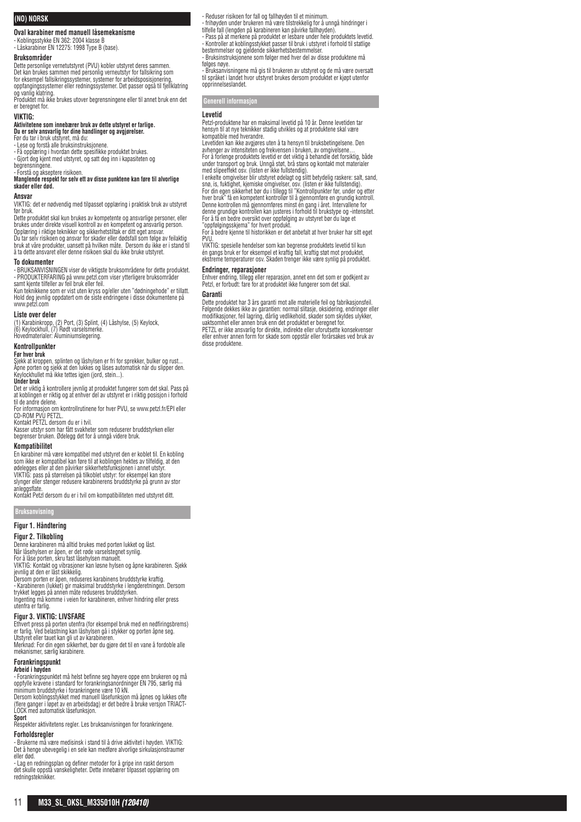# **(NO) NORSK**

**Oval karabiner med manuell låsemekanisme**

- Koblingsstykke EN 362: 2004 klasse B - Låskarabiner EN 12275: 1998 Type B (base).

# **Bruksområder**

Dette personlige vernetutstyret (PVU) kobler utstyret deres sammen.<br>Det kan brukes sammen med personlig verneutstyr for fallsikring som<br>for eksempel fallsikringssystemer, systemer for arbeidsposisjonering,<br>oppfangingssyste

og vanlig klatring. Produktet må ikke brukes utover begrensningene eller til annet bruk enn det er beregnet for.

#### **VIKTIG:**

# **Aktivitetene som innebærer bruk av dette utstyret er farlige. Du er selv ansvarlig for dine handlinger og avgjørelser.**

Før du tar i bruk utstyret, må du: - Lese og forstå alle bruksinstruksjonene.

- Få opplæring i hvordan dette spesifikke produktet brukes.

- Gjort deg kjent med utstyret, og satt deg inn i kapasiteten og

# begrensningene.<br>- Forstå og akseptere risikoen.<br>**Manglende respekt for selv ett av disse punktene kan føre til alvorlige skader eller død.**

#### **Ansvar**

VIKTIG: det er nødvendig med tilpasset opplæring i praktisk bruk av utstyret

før bruk. Dette produktet skal kun brukes av kompetente og ansvarlige personer, eller brukes under direkte visuell kontroll av en kompetent og ansvarlig person. Opplæring i riktige teknikker og sikkerhetstiltak er ditt eget ansvar.<br>Du tar selv risikoen og ansvar for skader eller dødsfall som følge av feilaktig<br>bruk at våre produkter, uansett på hvilken måte. Dersom du ikke er i s å ta dette ansvaret eller denne risikoen skal du ikke bruke utstyret.

#### **To dokumenter**

- BRUKSANVISNINGEN viser de viktigste bruksområdene for dette produktet. - PRODUKTERFARING på www.petzl.com viser ytterligere bruksområder samt kjente tilfeller av feil bruk eller feil.

Kun teknikkene som er vist uten kryss og/eller uten "dødningehode" er tillatt. Hold deg jevnlig oppdatert om de siste endringene i disse dokumentene på www.petzl.com

#### **Liste over deler**

(1) Karabinkropp, (2) Port, (3) Splint, (4) Låshylse, (5) Keylock, (6) Keylockhull, (7) Rødt varselsmerke. Hovedmaterialer: Aluminiumslegering.

# **Kontrollpunkter**

# **Før hver bruk**

Sjekk at kroppen, splinten og låshylsen er fri for sprekker, bulker og rust... Åpne porten og sjekk at den lukkes og låses automatisk når du slipper den. Keylockhullet må ikke tettes igjen (jord, stein...).

#### **Under bruk**

Det er viktig å kontrollere jevnlig at produktet fungerer som det skal. Pass på at koblingen er riktig og at enhver del av utstyret er i riktig posisjon i forhold

til de andre delene. For informasjon om kontrollrutinene for hver PVU, se www.petzl.fr/EPI eller CD-ROM PVU PETZL. Kontakt PETZL dersom du er i tvil.

Kasser utstyr som har fått svakheter som reduserer bruddstyrken eller begrenser bruken. Ødelegg det for å unngå videre bruk.

#### **Kompatibilitet**

En karabiner må være kompatibel med utstyret den er koblet til. En kobling som ikke er kompatibel kan føre til at koblingen hektes av tilfeldig, at den ødelegges eller at den påvirker sikkerhetsfunksjonen i annet utstyr. VIKTIG: pass på størrelsen på tilkoblet utstyr: for eksempel kan store slynger eller stenger redusere karabinerens bruddstyrke på grunn av stor

anleggsflate. Kontakt Petzl dersom du er i tvil om kompatibiliteten med utstyret ditt.

## **Bruksanvisning**

**Figur 1. Håndtering**

#### **Figur 2. Tilkobling**

Denne karabineren må alltid brukes med porten lukket og låst. Når låsehylsen er åpen, er det røde varselstegnet synlig.

For å låse porten, skru fast låsehylsen manuelt.

VIKTIG: Kontakt og vibrasjoner kan løsne hylsen og åpne karabineren. Sjekk jevnlig at den er låst skikkelig. Dersom porten er åpen, reduseres karabinens bruddstyrke kraftig.

- Karabineren (lukket) gir maksimal bruddstyrke i lengderetningen. Dersom trykket legges på annen måte reduseres bruddstyrken. Ingenting må komme i veien for karabineren, enhver hindring eller press

utenfra er farlig.

# **Figur 3. VIKTIG: LIVSFARE**

Ethvert press på porten utenfra (for eksempel bruk med en nedfiringsbrems) er farlig. Ved belastning kan läshylsen gå i stykker og porten åpne seg.<br>Utstyret eller tauet kan gli ut av karabineren.<br>Merknad: For din egen sikkerhet, bør du gjøre det til en vane å fordoble alle

mekanismer, særlig karabinere. **Forankringspunkt**

**Arbeid i høyden**<br>- Forankringspunktet må helst befinne seg høyere oppe enn brukeren og må oppfylle kravene i standard for forankringsanordninger EN 795, særlig må minimum bruddstyrke i forankringene være 10 kN.

Dersom koblingsstykket med manuell låsefunksjon må åpnes og lukkes ofte (flere ganger i løpet av en arbeidsdag) er det bedre å bruke versjon TRIACT-LOCK med automatisk låsefunksjon.

**Sport** Respekter aktivitetens regler. Les bruksanvisningen for forankringene.

## **Forholdsregler**

- Brukerne må være medisinsk i stand til å drive aktivitet i høyden. VIKTIG: Det å henge ubevegelig i en sele kan medføre alvorlige sirkulasionstrau eller død.

- Lag en redningsplan og definer metoder for å gripe inn raskt dersom det skulle oppstå vanskeligheter. Dette innebærer tilpasset opplæring om redningsteknikker.

- frihøyden under brukeren må være tilstrekkelig for å unngå hindringer i tilfelle fall (lengden på karabineren kan påvirke fallhøyden).

- Pass på at merkene på produktet er lesbare under hele produktets levetid. - Kontroller at koblingsstykket passer til bruk i utstyret i forhold til statlige bestemmelser og gjeldende sikkerhetsbestemmelser.

- Bruksinstruksjonene som følger med hver del av disse produktene må følges nøye.

- Bruksanvisningene må gis til brukeren av utstyret og de må være oversatt til språket i landet hvor utstyret brukes dersom produktet er kjøpt utenfor opprinnelseslandet.

# **Generell informasjon**

#### **Levetid**

Petzl-produktene har en maksimal levetid på 10 år. Denne levetiden tar hensyn til at nye teknikker stadig utvikles og at produktene skal være kompatible med hverandre.

Levetiden kan ikke avgjøres uten å ta hensyn til bruksbetingelsene. Den avhenger av intensiteten og frekvensen i bruken, av omgivelsene… For å forlenge produktets levetid er det viktig å behandle det forsiktig, både under transport og bruk. Unngå støt, brå stans og kontakt mot materialer med slipeeffekt osv. (listen er ikke fullstendig).

I enkelte omgivelser blir utstyret ødelagt og slitt betydelig raskere: salt, sand,<br>snø, is, fuktighet, kjemiske omgivelser, osv. (listen er ikke fullstendig).<br>For din egen sikkerhet bør du i tillegg til "Kontrollpunkter fø For å få en bedre oversikt over oppfølging av utstyret bør du lage et "oppfølgingsskjema" for hvert produkt.

For å bedre kjenne til historikken er det anbefalt at hver bruker har sitt eget PVU.

VIKTIG: spesielle hendelser som kan begrense produktets levetid til kun én gangs bruk er for eksempel et kraftig fall, kraftig støt mot produktet, ekstreme temperaturer osv. Skaden trenger ikke være synlig på produktet.

#### **Endringer, reparasjoner**

Enhver endring, tillegg eller reparasjon, annet enn det som er godkjent av Petzl, er forbudt: fare for at produktet ikke fungerer som det skal.

#### **Garanti**

Dette produktet har 3 års garanti mot alle materielle feil og fabrikasjonsfeil.<br>Følgende dekkes ikke av garantien: normal slitasje, oksidering, endringer eller<br>modifikasjoner, feil lagring, dårlig vedlikehold, skader som s uaktsomhet eller annen bruk enn det produktet er beregnet for. PETZL er ikke ansvarlig for direkte, indirekte eller uforutsette konsekvenser eller enhver annen form for skade som oppstår eller forårsakes ved bruk av disse produktene.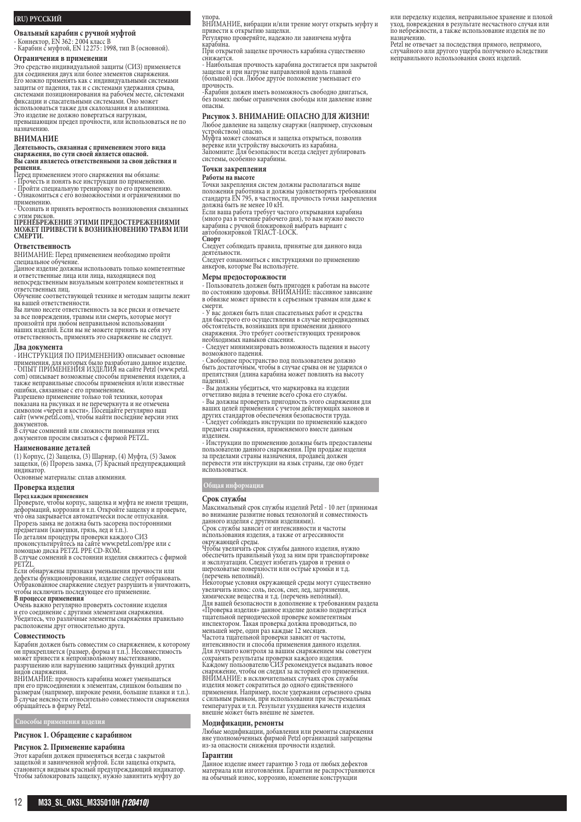## **(RU) РУССКИЙ**

**Овальный карабин с ручной муфтой**

- Коннектор, EN 362 : 2 004 класс B - Карабин с муфтой, EN 12 275 : 1998, тип B (основной).

# **Ограничения в применении**

Это средство индивидуальной защиты (СИЗ) применяется для соединения двух или более элементов снаряжения. Его можно применять как с индивидуальными системами<br>защиты от падения, так и с системами удержания срыва,<br>системами позиционирования на рабочем месте, системами<br>фиксации и спасательными системами. Оно может использоваться также для скалолазания и альпинизма. Это изделие не должно повергаться нагрузкам,

превышающим предел прочности, или использоваться не по назначению.

#### **ВНИМАНИЕ**

### **Деятельность, связанная с применением этого вида снаряжения, по сути своей является опасной. Вы сами являетесь ответственными за свои действия и**

**решения.** Перед применением этого снаряжения вы обязаны:

- Прочесть и понять все инструкции по применению. - Пройти специальную тренировку по его применению. - Ознакомиться с его возможностями и ограничениями по

применению. - Осознать и принять вероятность возникновения связанных

#### с этим рисков. **ПРЕНЕБРЕЖЕНИЕ ЭТИМИ ПРЕДОСТЕРЕЖЕНИЯМИ МОЖЕТ ПРИВЕСТИ К ВОЗНИКНОВЕНИЮ ТРАВМ ИЛИ СМЕРТИ.**

#### **Ответственность**

ВНИМАНИЕ: Перед применением необходимо пройти

специальное обучение. Данное изделие должны использовать только компетентные и ответственные лица или лица, находящиеся под непосредственным визуальным контролем компетентных и

ответственных лиц. Обучение соответствующей технике и методам защиты лежит

на вашей ответственности. Вы лично несете ответственность за все риски и отвечаете

за все повреждения, травмы или смерть, которые могут произойти при любом неправильном использовании наших изделий. Если вы не можете принять на себя эту ответственность, применять это снаряжение не следует.

#### **Два документа**

- ИНСТРУКЦИЯ ПО ПРИМЕНЕНИЮ описывает основные применения, для которых было разработано данное изделие. - ОПЫТ ПРИМЕНЕНИЯ ИЗДЕЛИЯ на сайте Petzl (www.petzl. com) описывает возможные способы применения изделия, а также неправильные способы применения и/или известные

ошибки, связанные с его применением. Разрешено применение только той техники, которая показана на рисунках и не перечеркнута и не отмечена символом «череп и кости». Посещайте регулярно наш сайт (www.petzl.com), чтобы найти последние версии этих

документов. В случае сомнений или сложности понимания этих документов просим связаться с фирмой PETZL.

#### **Наименование деталей**

(1) Корпус, (2) Защелка, (3) Шарнир, (4) Муфта, (5) Замок защелки, (6) Прорезь замка, (7) Красный предупреждающий индикатор. Основные материалы: сплав алюминия.

# **Проверка изделия**

**Перед каждым применением**<br>Проверьте, чтобы корпус, защелка и муфта не имели трещин,<br>деформаций, коррозии и т.п. Откройте защелку и проверьте, что она закрывается автоматически после отпускания. Прорезь замка не должна быть засорена посторонними

предметами (камушки, грязь, лед и т.п.).<br>По деталям процедуры проверки каждого СИЗ<br>проконсультируйтесь на сайте www.petzl.com/ppe или с<br>помощью диска PETZL PPE CD-ROM.

В случае сомнений в состоянии изделия свяжитесь с фирмой

PETZL

Если обнаружены признаки уменьшения прочности или<br>дефекты функционирования, изделие следует отбраковать.<br>Отбракованное снаряжение следует разрушить и уничтожить,<br>чтобы исключить последующее его применение.

**В процессе применения** Очень важно регулярно проверять состояние изделия и его соединение с другими элементами снаряжения. Убедитесь, что различные элементы снаряжения правильно расположены друг относительно друга.

#### **Совместимость**

Карабин должен быть совместим со снаряжением, к которому он прикрепляется (размер, форма и т.п.). Несовместимость может привести к непроизвольному выстегиванию, разрушению или нарушению защитных функций других видов снаряжения.

ВНИМАНИЕ: прочность карабина может уменьшаться при его присоединении к элементам, слишком большим по размерам (например, широкие ремни, большие планки и т.п.). размерам (например, широкие решил, селения)<br>В случае неясности относительно совместимости снаряжения обращайтесь в фирму Petzl.

**Способы применения изделия**

# **Рисунок 1. Обращение с карабином**

#### **Рисунок 2. Применение карабина**

Этот карабин должен применяться всегда с закрытой<br>защелкой и завинченной муфтой. Если защелка открыта,<br>становится видным красный предупреждающий индикатор.<br>Чтобы заблокировать защелку, нужно завинтить муфту до

упора. ВНИМАНИЕ, вибрации и/или трение могут открыть муфту и привести к открытию защелки.

Регулярно проверяйте, надежно ли завинчена муфта карабина.

При открытой защелке прочность карабина существенно снижается.

- Наибольшая прочность карабина достигается при закрытой защелке и при нагрузке направленной вдоль главной (большой) оси. Любое другое положение уменьшает его прочность.

-Карабин должен иметь возможность свободно двигаться, без помех: любые ограничения свободы или давление извне опасны.

# **Рисунок 3. ВНИМАНИЕ: ОПАСНО ДЛЯ ЖИЗНИ!**

Любое давление на защелку снаружи (например, спусковым устройством) опасно. Муфта может сломаться и защелка открыться, позволив веревке или устройству выскочить из карабина.

Запомните: Для безопасности всегда следует дублировать системы, особенно карабины.

# **Точки закрепления**

#### **Работы на высоте**

Точки закрепления систем должны располагаться выше положения работника и должны удовлетворять требованиям<br>стандарта EN 795, в частности, прочность точки закрепления<br>должна быть не менее 10 кН.

Если ваша работа требует частого открывания карабина<br>(много раз в течение рабочего дня), то вам нужно вместо<br>карабина с ручной блокировкой выбрать вариант с<br>автоблокировкой TRIACT-LOCK.

**Спорт** Следует соблюдать правила, принятые для данного вида

деятельности. Следует ознакомиться с инструкциями по применению анкеров, которые Вы используете.

#### **Меры предосторожности**

- Пользователь должен быть пригоден к работам на высоте по состоянию здоровья. ВНИМАНИЕ: пассивное зависание в обвязке может привести к серьезным травмам или даже к

смерти. - У вас должен быть план спасательных работ и средства для быстрого его осуществления в случае непредвиденных обстоятельств, возникших при применении данного снаряжения. Это требует соответствующих тренировок необходимых навыков спасения.

- Следует минимизировать возможность падения и высоту возможного падения.

- Свободное пространство под пользователем должно быть достаточным, чтобы в случае срыва он не ударился о препятствия (длина карабина может повлиять на высоту падения).

- Вы должны убедиться, что маркировка на изделии<br>отчетливо видна в течение всего срока его службы.<br>- Вы должны проверить пригодность этого снаряжения для<br>ваших целей применения с учетом действующих законов и других стандартов обеспечения безопасности труда. - Следует соблюдать инструкции по применению каждого предмета снаряжения, применяемого вместе данным изделием.

- Инструкции по применению должны быть предоставлены пользователю данного снаряжения. При продаже изделия за пределами страны назначения, продавец должен<br>перевести эти инструкции на язык страны, где оно будет использоваться.

**Общая информация**

**Срок службы** Максимальный срок службы изделий Petzl - 10 лет (принимая<br>во внимание развитие новых технологий и совместимость<br>данного изделия с другими изделиями).

Срок службы зависит от интенсивности и частоты использования изделия, а также от агрессивности окружающей среды.

Чтобы увеличить срок службы данного изделия, нужно обеспечить правильный уход за ним при транспортировке и эксплуатации. Следует избегать ударов и трения о шероховатые поверхности или острые кромки и т.д. (перечень неполный).

Некоторые условия окружающей среды могут существенно увеличить износ: соль, песок, снег, лед, загрязнения, химические вещества и т.д. (перечень неполный). Для вашей безопасности в дополнение к требованиям раздела

«Проверка изделия» данное изделие должно подвергаться<br>тщательной периодической проверке компетентным<br>инспектором. Такая проверка должна проводиться, по<br>меньшей мере, один раз каждые 12 месяцев.<br>Частога тщательной проверки Для лучшего контроля за вашим снаряжением мы советуем<br>сохранять результаты проверки каждого изделия.<br>Каждому пользователю СИЗ рекомендуется выдавать новое<br>снаряжение, чтобы он следил за историей его применения.<br>ВНИМАНИЕ: изделия может сократиться до одного единственного применения. Например, после удержания серьезного срыва с сильным рывком, при использовании при экстремальных температурах и т.п. Результат ухудшения качеств изделия внешне может быть внешне не заметен.

# **Модификации, ремонты**

Любые модификации, добавления или ремонты снаряжения вне уполномоченных фирмой Petzl организаций запрещены из-за опасности снижения прочности изделий.

#### **Гарантии**

Данное изделие имеет гарантию 3 года от любых дефектов<br>материала или изготовления. Гарантии не распространяются на обычный износ, коррозию, изменение конструкции

или переделку изделия, неправильное хранение и плохой уход, повреждения в результате несчастного случая или по небрежности, а также использование изделия не по назначению.

Petzl не отвечает за послелствия прямого, непрямого, случайного или другого ущерба полученого вследствии неправильного использования своих изделий.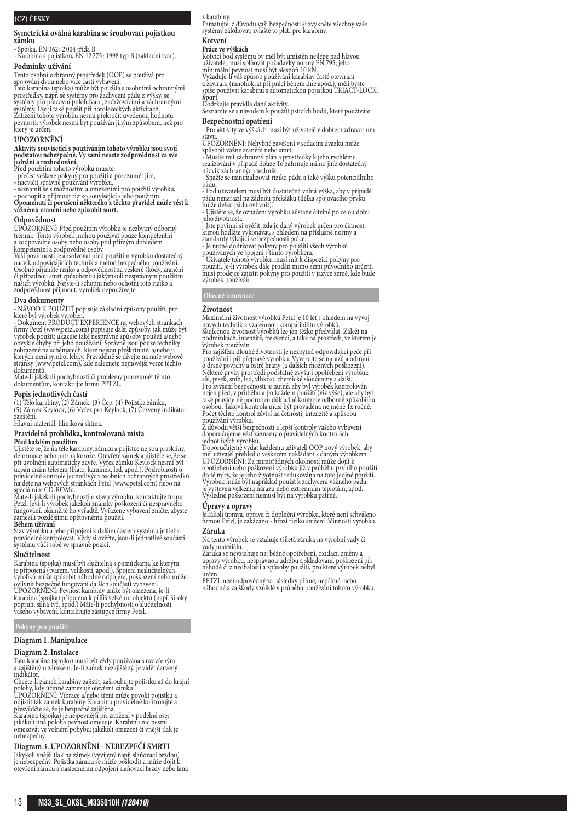# **(CZ) ČESKY**

**Symetrická oválná karabina se šroubovací pojistkou zámku**

- Spojka, EN 362 : 2 004 třída B - Karabina s pojistkou, EN 12 275 : 1998 typ B (základní tvar).

#### **Podmínky užívání**

Tento osobní ochranný prostředek (OOP) se používá pro<br>spojování dvou nebo více částí vybavení.<br>Tato karabina (spojka) může být použíta s osobními ochrannými<br>Tato karabina (spojka) může být použíta s osobními ochrannými<br>sys

#### **UPOZORNĚNÍ**

# **Aktivity související s používáním tohoto výrobku jsou svojí podstatou nebezpečné. Vy sami nesete zodpovědnost za své jednání a rozhodování.**

Před použitím tohoto výrobku musíte:<br>- přečíst veškeré pokyny pro použití a porozumět jim,<br>- nacvičit správně používaní výrobku,<br>- seznámit se s možnostmi a omezeními pro použití výrobku,<br>- pochopit a přijmout riziko souvi

# **Odpovědnost**

UPOZORNENI: Před použitím výrobku je nezbytný odborný<br>trénink. Tento výrobek mohou používat pouze kompetentní<br>a zodpovědné osoby nebo osoby pod přímým dohledem<br>kompetentní a zodpovědné osoby.<br>Vaší povinností je absolvovat

Osobně přjímáte riziko a odpovědnost za veškeré škody, zranění či případnou smrt způsobenou jakýmkoli nesprávným použitím našich výrobků. Nejste-li schopni nebo ochotni toto riziko a zodpovědnost přijmout, výrobek nepoužívejte.

#### **Dva dokumenty**

- NAVOD K POUZITI popisuje základní způsoby použití, pro<br>které byl výrobek vyroben.<br>- Dokument PRODUCT EXPERIENCE na webových stránkách<br>firmy Petzl (www.petzl.com) popisuje další způsoby, jak může být<br>výrobek použit; ukazu

Máte-li jakékoli pochybnosti či problémy porozumět těmto dokumentům, kontaktujte firmu PETZL.

#### **Popis jednotlivých částí**

(1) Tělo karabiny, (2) Zámek, (3) Čep, (4) Pojistka zámku, (5) Zámek Keylock, (6) Výřez pro Keylock, (7) Červený indikátor zajištění.

Hlavní materiál: hliníková slitina.

# **Pravidelná prohlídka, kontrolovaná místa**

**Před každým použitím**<br>Ujistěte se, že na těle karabiny, zámku a pojistce nejsou praskliny, distěte se, že na těle karabiny, zámku a pojistce nejse při uvolnění automaticky zavře. Výřez zámku Keylock nesmí být<br>při uvolnění

Petzl. Jeví-li výrobek jakékoli známky poškození či nesprávného fungování, okamžitě ho vyřaďtě. Vyřazené vybavení zničte, abyste zamezili pozdějšímu opětovnému použití. **Během užívání**

Stav výrobku a jeho připojení k dalším částem systému je třeba<br>pravidelně kontrolovat. Vždy si ověřte, jsou-li jednotlivé součásti<br>systému vůči sobě ve správné pozici.

#### **Slučitelnost**

Karabina (spojka) musi být slučitelná s pomůckami, ke kterým<br>je připojena (tvarem, velikostí, apod.). Spojení neslučitelných<br>výrobkú může způsobit náhodné odpojení, poškození nebo může<br>ovlivnit bezpečné fungování dalších s

## **Pokyny pro použití**

#### **Diagram 1. Manipulace**

**Diagram 2. Instalace** Tato karabina (spojka) musí být vždy používána s uzavřeným a zajištěným zámkem. Je-li zámek nezajištěný, je vidět červený

indikátor.<br>Chcete-li zámek karabiny zajistit, zašroubujte pojistku až do krajní<br>polohy, kdy účinně zamezuje otevření zámku.<br>UPOZORNĚNÍ: Vibrace a/nebo tření může povolit pojistku a<br>odjistit tak zámek karabiny. Karabinu pra

přesvědčte se, že je bezpečně zajištěna.<br>Karabina (spojka) je nejpevnější při zatížení v podélné ose;<br>jakákoli jiná poloha pevnost omezuje. Karabinu nic nesmí<br>omezovat ve volném pohybu; jakékoli omezení či vnější tlak je

nebezpečný.

# **Diagram 3. UPOZORNĚNÍ - NEBEZPEČÍ SMRTI**

Jakýkoli vnější tlak na zámek (vyvíjený např. slaňovací brzdou) je nebezpečný. Pojistka zámku se může poškodit a může dojít k otevření zámku a následnému odpojení slaňovací brzdy nebo lana

# z karabiny.

Pamatujte: z důvodu vaší bezpečnosti si zvykněte všechny vaše systémy zálohovat; zvláště to platí pro karabiny.

#### **Kotvení Práce ve výškách**

Kotvicí bod systému by měl být umístěn nejlépe nad hlavou<br>uživatele; musí splňovat požadavky normy EN 795; jeho<br>minimální pevnost musí být alespoň 10 kN.<br>Vyžaduje-li váš způsob používání karabiny časté otevírání a zavírání (mnohokrát při práci během dne apod.), měli byste spíše používat karabinu s automatickou pojistkou TRIACT-LOCK. **Sport**

Dodržujte pravidla dané aktivity. Seznamte se s návodem k použití jisticích bodů, které používáte. **Bezpečnostní opatření**

- Pro aktivity ve výškách musí být uživatelé v dobrém zdravotním

stavu. UPOZORNĚNÍ: Nehybné zavěšení v sedacím úvazku může

způsobit vážné zranění nebo smrt. - Musíte mít záchranný plán a prostředky k jeho rychlému realizování v případě nouze To zahrnuje mimo jiné dostatečný

nácvik záchranných technik.<br>- Snažte se minimalizovat riziko pádu a také výšku potenciálního<br>pádu.

- Pod uživatelem musí být dostatečná volná výška, aby v případě<br>pádu nenarazil na žádnou překážku (délka spojovacího prvku<br>může délku pádu ovlivnit).

- Ujistěte se, že označení výrobku zůstane čitelné po celou dobu<br>jeho životnosti.<br>- Jste povimni si ověřit, zda je daný výrobek určen pro činnost,<br>- Jste povimni si ověřit, zda je daný výrobek určen pro činnost,<br>standardy

musí prodejce zajistit pokyny pro použití v jazyce země, kde bude výrobek používán.

**Životnost** Maximální životnost výrobků Petzl je 10 let s ohledem na vývoj<br>nových technik a vzájemnou kompatibilitu výrobků.<br>Skutečnou životnost výrobků lze jen těžko předvídat. Záleží na podmínkách, intenzitě, frekvenci, a také na prostředí, ve kterém je<br>výrobek používán.<br>Pro zajištění dlouhé životnosti je nezbytná odpovídající péče při

používání i při přepravě výrobku. Vyvarujte se nárazů a odírání<br>o drsné povrchy a ostré hrany (a dalších možných poškození).<br>Některé prvky prostředí podstatně zvyšují opotřebení výrobku:

sůl, pisek, sníh, led, vlhkost, chemické sloučeniny a další.<br>Pro zvýšení bezpečnosti je nutné, aby byl výrobek kontrolován<br>nejen před, v průběhu a po každém použití (viz výše), ale aby byl<br>také pravidelně podroben důkladné používání výrobku.<br>Z důvodu výrobku.

Z důvodu větší bezpečnosti a lepší kontroly vašeho vybavení doporučujeme vést záznamy o pravidelných kontrolách

jednotlivých výrobků.<br>Doporučujeme vydat každému uživateli OOP nový výrobek, aby<br>měl uživatel přehled o veškerém nakládání s daným výrobkem.<br>UPOZORNĚNI: Za mimořádných okolností může dojít k<br>opotřebení nebo poškození výrob Výrobek může být například použit k zachycení vážného pádu,<br>je vystaven velkému nárazu nebo extrémním teplotám, apod.<br>Výsledné poškození nemusí být na výrobku patrné.

## **Úpravy a opravy**

Jakákoli úprava, oprava či doplnění výrobku, které není schváleno firmou Petzl, je zakázáno - hrozí riziko snížení účinnosti výrobku.

# **Záruka**

Na tento výrobek se vztahuje tříletá záruka na výrobní vady či vady materiálu.

Záruka se nevztahuje na: běžné opotřebení, oxidaci, změny a úpravy výrobku, nesprávnou údržbu a skladování, poškození při

nehodě či z nedbalosti a způsoby použití, pro které výrobek nebyl<br>určen.<br>PETZL není odpovědný za následky přímé, nepřímé nebo<br>náhodné a za škody vzniklé v průběhu používání tohoto výrobku.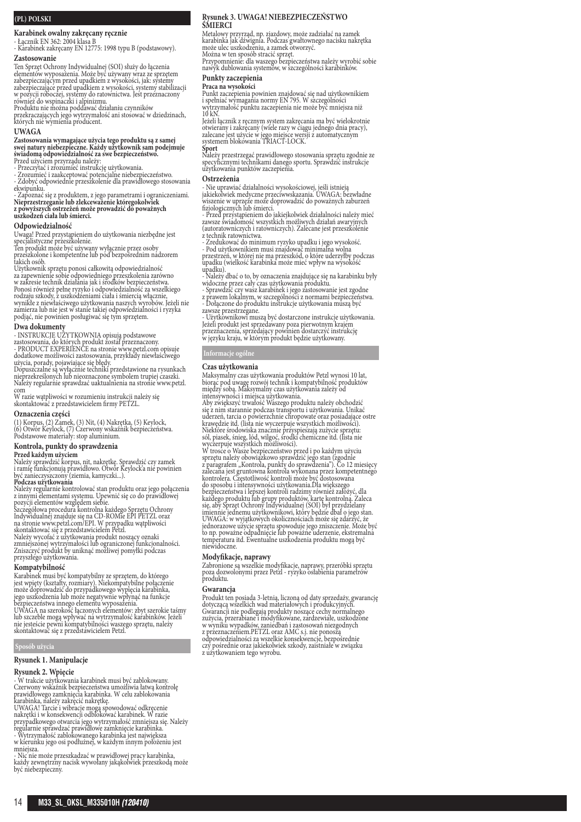# **(PL) POLSKI**

# **Karabinek owalny zakręcany ręcznie**

- Łącznik EN 362: 2004 klasa B - Karabinek zakręcany EN 12775: 1998 typu B (podstawowy).

#### **Zastosowanie**

Ten Sprzęt Ochrony Indywidualnej (SOI) służy do łączenia elementów wyposażenia. Może być używany wraz ze sprzętem zabezpieczającym przed upadkiem z wysokości, jak: systemy<br>zabezpieczające przed upadkiem z wysokości, systemy stabilizacji<br>w pozycji roboczej, systemy do ratownictwa. Jest przeznaczony<br>również do wspinaczki i alpinizmu.<br>Pr

#### **UWAGA**

Zastosowania wymagające użycia tego produktu są z samej<br>swej natury niebezpieczne. Każdy użytkownik sam podejmuje<br>świadomą odpowiedzialność za swe bezpieczeństwo.<br>Przed użyciem przyrządu należy:<br>- Zrozumieć izakceptować po

ekwipunku. - Zapoznać się z produktem, z jego parametrami i ograniczeniami.<br>Nieprzestrzeganie lub zlekceważenie któregokolwiek<br>z powyższych ostrzeżeń może prowadzić do poważnych<br>uszkodzeń ciała lub śmierci.

#### **Odpowiedzialność**

Uwaga! Przed przystąpieniem do użytkowania niezbędne jest<br>specjalistyczne przeszkolenie.<br>Ten produkt może być używany wyłącznie przez osoby<br>przeszkolone i kompetentne lub pod bezpośrednim nadzorem<br>takich osób.<br>Użytkownik s

zzykownik sprzeu ponost cznownego oprzeszkolenia zarówno w zakresie technik działania jak i środków bezpieczeństwa.<br>Ponosi również pełne ryzyko i odpowiedzialność za wszelkiego rodzaju szkody, z uszkodzeniami ciała i śmier

#### **Dwa dokumenty**

- INSTRUKCJE UZYTKOWNIA opisują podstawowe<br>zastosowania, do których produkt został przeznaczony.<br>- PRODUCT EXPERIENCE na stronie www.petzl.com opisuje<br>dodatkowe możliwości zastosowania, przykłady niewłaściwego

użycia, porady, pojawiające się błędy. Dopuszczalne są wyłącznie techniki przedstawione na rysunkach nieprzekreślonych lub nieoznaczone symbolem trupiej czaszki. Należy regularnie sprawdzać uaktualnienia na stronie www.petzl. com

<sup>W</sup> razie wątpliwości w rozumieniu instrukcji należy się skontaktować z przedstawicielem firmy PETZL.

**Oznaczenia części** (1) Korpus, (2) Zamek, (3) Nit, (4) Nakrętka, (5) Keylock,<br>(6) Otwór Keylock, (7) Czerwony wskaźnik bezpieczeństwa.<br>Podstawowe materiały: stop aluminium.

# **Kontrola, punkty do sprawdzenia**

**Przed każdym użyciem**<br>Należy sprawdzić korpus, nit, nakrętkę. Sprawdzić czy zamek<br>i ramię funkcjonują prawidłowo. Otwór Keylock'a nie powinien<br>być zanieczyszczony (ziemia, kamyczki...).<br>**Podczas użytkowania** 

Należy regularnie kontrolować stan produktu oraz jego połączenia<br>z innyni elementami systemu. Upewnić się co do prawidłowej<br>pozycji elementów względem siebie.<br>Szczegółowa procedura kontrolna każdego Sprzętu Ochrony<br>Indywid

na stronie www.petzl.com/EPI. W przypadku wątpliwości<br>skontaktować się z przedstawicielem Petzl.

Należy wycofać z użytkowania produkt noszący oznaki<br>zmniejszonej wytrzymałości lub ograniczonej funkcjonalności.<br>Zniszczyć produkt by uniknąć możliwej pomyłki podczas przyszłego użytkowania.

#### **Kompatybilność**

Karabinek musi być kompatybilny ze sprzętem, do którego<br>jest wpięty (ksztatły, rozmiary). Niekompatybilne połączenie<br>może doprowadzić do przypadkowego wypięcia karabinka,<br>jego uszkodzenia lub może negatywnie wpłynąć na fun

# **Sposób użycia**

#### **Rysunek 1. Manipulacje**

**Rysunek 2. Wpięcie**

- W trakcie użytkowania karabinek musi być zablokowany.<br>Czerwony wskaźnik bezpieczeństwa umożliwia łatwą kontrolę<br>prawidłowego zamknięcia karabinka. W celu zablokowania<br>karabinka, należy zakręcić nakrętkę.<br>UWAGA! Tarcie i

- Nic nie może przeszkadzać w prawidłowej pracy karabinka, każdy zewnętrzny nacisk wywołany jakąkolwiek przeszkodą może być niebezpieczny.

#### **Rysunek 3. UWAGA! NIEBEZPIECZEŃSTWO ŚMIERCI**

Metalowy przyrząd, np. zjazdowy, może zadziałać na zamek karabinka jak dźwignia. Podczas gwałtownego nacisku nakrętka

może ulec uszkodzeniu, a zamek otworzyć.<br>Można w ten sposób stracić sprzęt.<br>Przypomnienie: dla waszego bezpieczeństwa należy wyrobić sobie<br>nawyk dublowania systemów, w szczególności karabinków.

# **Punkty zaczepienia**

**Praca na wysokości**<br>Punkt zaczepienia powinien znajdować się nad użytkownikiem<br>i spełniać wymagania normy EN 795. W szczególności<br>wytrzymałość punktu zaczepienia nie może być mniejsza niż

10 kN. Jeżeli łącznik z ręcznym system zakręcania ma być wielokrotnie otwierany i zakręcany (wiele razy w ciągu jednego dnia pracy), zalecane jest użycie w jego miejsce wersji z automatycznym systemem blokowania TRIACT-LOCK.

**Sport**<br>Należy przestrzegać prawidłowego stosowania sprzętu zgodnie ze<br>specyficznymi technikami danego sportu. Sprawdzić instrukcje użytkowania punktów zaczepienia.

#### **Ostrzeżenia**

- Nie uprawiać działalności wysokościowej, jeśli istnieją<br>jakiekolwiek medyczne przecuwwskazania. UWAGA: bezwładne<br>wiszenie w uprzęże może doprowadzić do poważnych zaburzeń<br>fizjologicznych lub śmierci.<br>- Przed przystąpieni

- Pod użytkownikiem musi znajdować minimalna wolna<br>przestrzeń, w której nie ma przeszkód, o które uderzyłby podczas<br>upadku (wielkość karabinka może mieć wpływ na wysokość

upadku). - Należy dbać o to, by oznaczenia znajdujące się na karabinku były widoczne przez cały czas użytkowania produktu.

- Sprawdzić czy wasz karabinek i jego zastosowanie jest zgodne<br>z prawem lokalnym, w szczególności z normami bezpieczeństwa.<br>- Dołączone do produktu instrukcje użytkowania muszą być

zawsze przestrzegane.<br>- Użytkownikowi muszą być dostarczone instrukcje użytkowania.<br>Jeżeli produkt jest sprzedawany poza pierwotnym krajem<br>przeznaczenia, sprzedający powinien dostarczyć instrukcję<br>w języku kraju, w którym

**Informacje ogólne**

# **Czas użytkowania**

Maksymalny czas użytkowania produktów Petzl wynosi 10 lat,<br>biorąc pod uwagę rozwój technik i kompatybilność produktów<br>między sobą. Maksymalny czas użytkowania zależy od

intensywności i miejsca użytkowania.<br>
Aby zwiększyć trwałość Wazszęgo produktu należy obchodzić Aie z nim starannie podczas transportu i użytkowania. Unikać uderzeń, tarcia o powierzchnie chropowate oraz posiadające ostre UWAGA: w wyjątkowych okolicznościach może się zdarzyć, że<br>jednorazowe użycie sprzętu spowoduje jego zniszczenie. Może być<br>to np. poważne odpadnięcie lub poważne uderzenie, ekstremalna<br>temperatura itd. Ewentualne uszkodzeni niewidoczne.

# **Modyfikacje, naprawy**

Zabronione są wszelkie modyfikacje, naprawy, przeróbki sprzętu poza dozwolonymi przez Petzl - ryzyko osłabienia parametrów produktu.

# **Gwarancja**

Produkt ten posiada 3-letnią, liczoną od daty sprzedaży, gwarancję<br>dotyczącą wszelkich wad materiałowych i produkcyjnych.<br>Gwarancji nie podlegają produkty noszące cechy normalnego zużycia, przerabiane i modyfikowane, zardzewiałe, uszkodzone<br>w wyniku wypadków, zaniedbań i zastosowań niezgodnych<br>z przeznaczeniem.PETZL oraz AMC s.j. nie ponoszą odpowiedzialności za wszelkie konsekwencje, bezpośrednie<br>czy pośrednie oraz jakiekolwiek szkody, zaistniałe w związku<br>z użytkowaniem tego wyrobu.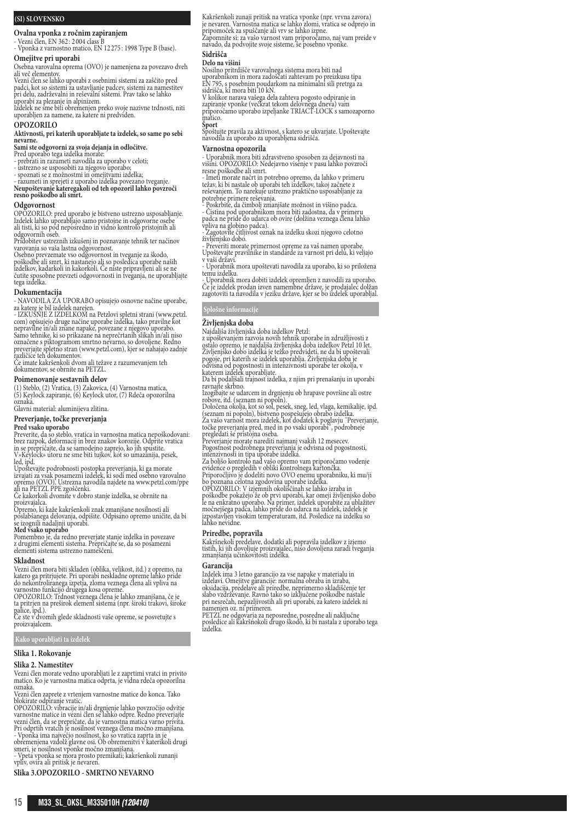# **(SI) SLOVENSKO**

**Ovalna vponka z ročnim zapiranjem**

- Vezni člen, EN 362 : 2 004 class B - Vponka z varnostno matico, EN 12 275 : 1998 Type B (base).

## **Omejitve pri uporabi**

Osebna varovalna oprema (OVO) je namenjena za povezavo dveh ali več elementov.

Vezni člen se lahko uporabi z osebnimi sistemi za zaščito pred padci, kot so sistemi za ustavljanje padcev, sistemi za namestitev pri delu, zadrževalni in reševalni sistemi. Prav tako se lahko uporabi za plezanje in alpinizem.

Izdelek ne sme biti obremenjen preko svoje nazivne trdnosti, niti uporabljen za namene, za katere ni predviden.

#### **OPOZORILO**

**Aktivnosti, pri katerih uporabljate ta izdelek, so same po sebi nevarne.**

# **Sami ste odgovorni za svoja dejanja in odločitve.**<br>Pred uporabo tega izdelka morate:<br>- prebrati in razumeti navodila za uporabo v celoti;

- ustrezno se usposobiti za njegovo uporabo;<br>- spoznati se z možnostmi in omejitvami izdelka;<br>- razumeti in sprejeti z uporabo izdelka povezano tveganje.<br>Neupoštevanje kateregakoli od teh opozoril lahko povzroči<br>resno pošk

#### **Odgovornost**

OPOZORILO: pred uporabo je bistveno ustrezno usposabljanje. Izdelek lahko uporabljajo samo pristojne in odgovorne osebe ali tisti, ki so pod neposredno in vidno kontrolo pristojnih ali

odgovornih oseb. Pridobitev ustreznih izkušenj in poznavanje tehnik ter načinov

varovanja so vaša lastna odgovornost. Osebno prevzemate vso odgovornost in tveganje za škodo, poškodbe ali smrt, ki nastanejo ali so posledica uporabe naših izdelkov, kadarkoli in kakorkoli. Če niste pripravljeni ali se ne čutite sposobne prevzeti odgovornosti in tveganja, ne uporabljajte tega izdelka.

#### **Dokumentacija**

- NAVODILA ZA UPORABO opisujejo osnovne načine uporabe,

za katere je bil izdelek narejen. - IZKUŠNJE Z IZDELKOM na Petzlovi spletni strani (www.petzl. com) opisujejo druge načine uporabe izdelka, tako pravilne kot<br>nepravilne in/ali znane napake, povezane z njegovo uporabo.<br>Samo tehnike, ki so prikazane na neprečrtanih slikah in/ali niso<br>označene s piktogramom smrtno neva

Če imate kakršenkoli dvom ali težave z razumevanjem teh dokumentov, se obrnite na PETZL.

#### **Poimenovanje sestavnih delov**

(1) Steblo, (2) Vratica, (3) Zakovica, (4) Varnostna matica, (5) Keylock zapiranje, (6) Keylock utor, (7) Rdeča opozorilna oznaka.

Glavni material: aluminijeva zlitina. **Preverjanje, točke preverjanja**

# **Pred vsako uporabo**

Preverite, da so steblo, vratica in varnostna matica nepoškodovani: brez razpok, deformacij in brez znakov korozije. Odprite vratica in se prepričajte, da se samodejno zaprejo, ko jih spustite. V»Keylock» utoru ne sme biti tujkov, kot so umazanija, pesek,

led, ipd. Upoštevajte podrobnosti postopka preverjanja, ki ga morate izvajati za vsak posamezni izdelek, ki sodi med osebno varovalno opremo (OVO). Ustrezna navodila najdete na www.petzl.com/ppe

ali na PETZL PPE zgoščenki.<br>Če kakorkoli dvomite v dobro stanje izdelka, se obrnite na

proizvajalca. Opremo, ki kaže kakršenkoli znak zmanjšane nosilnosti ali

poslabšanega delovanja, odpišite. Odpisano opremo uničite, da bi se izognili nadaljnji uporabi.

**Med vsako uporabo**<br>Pomembno je, da redno preverjate stanje izdelka in povezave<br>z drugimi elementi sistema. Prepričajte se, da so posamezni<br>elementi sistema ustrezno nameščeni.

#### **Skladnost**

Vezni člen mora biti skladen (oblika, velikost, itd.) z opremo, na katero ga pritrjujete. Pri uporabi neskladne opreme lahko pride<br>do nekontroliranega izpetja, zloma veznega člena ali vpliva na<br>varnostno funkcijo drugega kosa opreme.<br>OPOZORILO: Trdnost veznega člena je lahko zmanjšana, če

proizvajalcem.

## **Kako uporabljati ta izdelek**

**Slika 1. Rokovanje Slika 2. Namestitev**

Vezni člen morate vedno uporabljati le z zaprtimi vratci in privito matico. Ko je varnostna matica odprta, je vidna rdeča opozorilna

oznaka.<br>Vezni člen zaprete z vrtenjem varnostne matice do konca. Tako<br>Vezni člen zaprete z vrtenjem varnostne matice do konca. Tako<br>OPOZORILO: vibracije in/ali drgnjenje lahko povzročijo odvitje<br>oPOZORILO: vibracije in/ali

**Slika 3.OPOZORILO - SMRTNO NEVARNO**

Kakršenkoli zunaji pritisk na vratica vponke (npr. vrvna zavora)<br>je nevaren. Varnostna matica se lahko zlomi, vratica se odprejo in<br>pripomoček za spuščanje ali vrv se lahko izpne.<br>Zapomnite si: za vašo varnost vam priporoč

# **Sidrišča**

Delo na višini<br>Nosilno pritrdišče varovalnega sistema mora biti nad<br>Nosilno pritrdišče varovalnega sistema mora biti nad<br>EN 795, s posebnim poudarkom na minimalni sili pretrga za<br>sidrišča, ki mora biti 10 kN.<br>V kolikor nar

#### **Šport**

Spoštujte pravila za aktivnost, s katero se ukvarjate. Upoštevajte navodila za uporabo za uporabljena sidrišča.

#### **Varnostna opozorila**

- Uporabnik mora biti zdravstveno sposoben za dejavnosti na višini. OPOZORILO: Nedejavno visenje v pasu lahko povzroči resne poškodbe ali smrt.

- Imeti morate načrt in potrebno opremo, da lahko v primeru težav, ki bi nastale ob uporabi teh izdelkov, takoj začnete z reševanjem. To narekuje ustrezno praktično usposabljanje za potrebne primere reševanja. - Poskrbite, da čimbolj zmanjšate možnost in višino padca.

- Cistina pod uporabnikom mora biti zadostna, da v primeru<br>padca ne pride do udarca ob ovire (dolžina veznega člena lahko<br>vpliva na globino padca).<br>- Zagotovite čitljivost oznak na izdelku skozi njegovo celotno<br>življenjsko

- Preveriti morate primernost opreme za vaš namen uporabe. Upoštevajte pravilnike in standarde za varnost pri delu, ki veljajo

v vaši državi. - Uporabnik mora upoštevati navodila za uporabo, ki so priložena temu izdelku.

- Uporabnik mora dobiti izdelek opremljen z navodili za uporabo. Če je izdelek prodan izven namembne države, je prodajalec dolžan zagotoviti ta navodila v jeziku države, kjer se bo izdelek uporabljal.

# **Splošne informacije**

# **Življenjska doba**

Najdaljša življenjska doba izdelkov Petzl:

z upoštevanjem razvoja novih tehnik uporabe in združljivosti z<br>ostalo opremo, je najdaljša življenjska doba izdelkov Petzl 10 let.<br>Življenjsko dobo izdelka je težko predvideti, ne da bi upoštevali<br>pogoje, pri katerih se iz odvisna od pogostnosti in intenzivnosti uporabe ter okolja, v katerem izdelek uporabljate.

Da bi podaljšali trajnost izdelka, z njim pri prenašanju in uporabi ravnajte skrbno. Izogibajte se udarcem in drgnjenju ob hrapave površine ali ostre

robove, itd. (seznam ni popoln).<br>Določena okolja, kot so sol, pesek, sneg, led, vlaga, kemikalije, ipd.<br>Oseznam ni popoln), bistveno pospešujejo obrabo izdelka.<br>Za vašo varnost mora izdelek, kot dodatek k poglavju "Preverj

Pogostnost podrobnega preverjanja je odvisna od pogostnosti, intenzivnosti in tipa uporabe izdelka.

Za boljšo kontrolo nad vašo opremo vam priporočamo vodenje evidence o pregledih v obliki kontrolnega kartončka. Priporočljivo je dodeliti novo OVO enemu uporabniku, ki mu/ji

bo poznana celotna zgodovina uporabe izdelka.<br>OPOZORILO: V izjemnih okoliščinah se lahko izraba in<br>poškodbe pokažejo že ob prvi uporabi, kar omeji življenjsko dobo<br>le na enkratno uporabo. Na primer, izdelek uporabite za ub lahko nevidne.

# **Priredbe, popravila**

Kakršnekoli predelave, dodatki ali popravila izdelkov z izjemo tistih, ki jih dovoljuje proizvajalec, niso dovoljena zaradi tveganja zmanjšanja učinkovitosti izdelka.

#### **Garancija**

Izdelek ima 3 letno garancijo za vse napake v materialu in<br>izdelavi. Omejitve garancije: normalna obraba in izraba,<br>oksidacija, predelave ali priredbe, neprimerno skladiščenje ter<br>slabo vzdrževanje. Ravno tako so izključen

PETZL ne odgovarja za neposredne, posredne ali naključne posledice ali kakršnokoli drugo škodo, ki bi nastala z uporabo tega izdelka.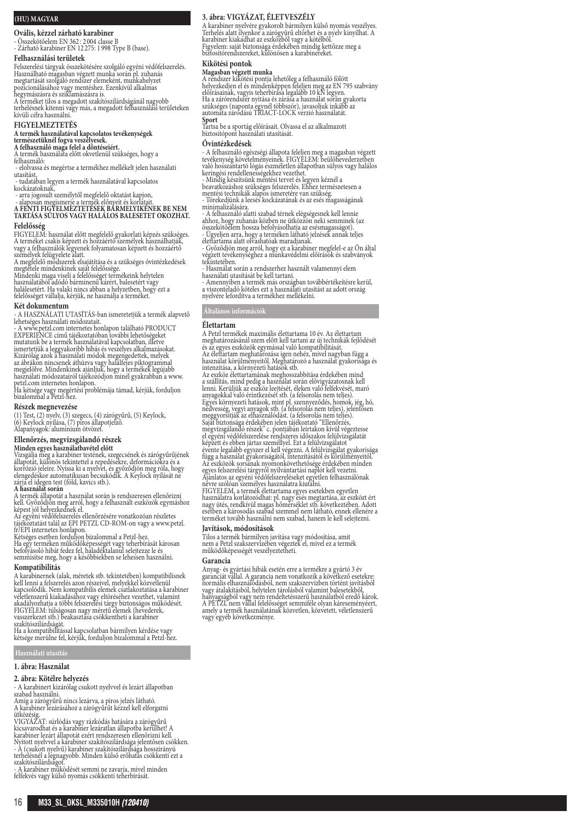# **(HU) MAGYAR**

**Ovális, kézzel zárható karabiner**

- Összekötőelem EN 362 : 2 004 classe B - Zárható karabiner EN 12 275: 1 998 Type B (base).

# **Felhasználási területek**

Felszerelési tárgyak összekötésére szolgáló egyéni védőfelszerelés. Használható magasban végzett munka során pl. zuhanás megtartását szolgáló rendszer elemeként, munkahelyzet pozicionálásához vagy mentéshez. Ezenkívül alkalmas hegymászásra és sziklamászásra is.

A terméket tilos a megadott szakítószilárdságánál nagyobb terhelésnek kitenni vagy más, a megadott felhasználási területeken kívüli célra használni. **FIGYELMEZTETÉS**

**A termék használatával kapcsolatos tevékenységek természetüknél fogva veszélyesek.**

**A felhasználó maga felel a döntéseiért.** A termék használata előtt okvetlenül szükséges, hogy a felhasználó: - elolvassa és megértse a termékhez mellékelt jelen használati

utasítást,<br>- tudatában legyen a termék használatával kapcsolatos

kockázatoknak,

- arra jogosult személytől megfelelő oktatást kapjon, - alaposan megismerje a termék előnyeit és korlátait. **A FENTI FIGYELMEZTETÉSEK BÁRMELYIKÉNEK BE NEM TARTÁSA SÚLYOS VAGY HALÁLOS BALESETET OKOZHAT.**

# **Felelősség**

FIGYELEM: használat előtt megtelelő gyakorlati képzés szükséges.<br>A terméket csakis képzett és hozzáértő személyek használhatják,<br>vagy a felhasználók legyenek folyamatosan képzett és hozzáértő<br>személyek felügyelete alatt.<br>A

Mindenki maga viseli a felelősséget termékeink helytelen<br>használatából adódó bárminenű kárért, balesetért vagy<br>halálesetért. Ha valaki nincs abban a helyzetben, hogy ezt a<br>felelősséget vállalja, kérjük, ne használja a term

### **Két dokumentum**

- A HASZNÁLATI UTASÍTÁS-ban ismeretetjük a termék alapvető

lehetséges használati módozatait.<br>- A www.petzl.com internetes honlapon található PRODUCT<br>- EXPERIENCE című tájékoztatóban további lehetőségeket<br>mutatunk be a termék használatával kapcsolatban, illetve<br>sinertetjük a leggya

petzl.com internetes honlapon. Ha kétsége vagy megértési problémája támad, kérjük, forduljon bizalommal a Petzl-hez.

#### **Részek megnevezése**

(1) Test, (2) nyelv, (3) szegecs, (4) zárógyűrű, (5) Keylock, (6) Keylock nyílása, (7) piros állapotjelző. Alapanyagok: alumínium ötvözet.

# **Ellenőrzés, megvizsgálandó részek**

**Minden egyes használatbavétel előtt**

Vizsgálja meg a karabiner testének, szegecsének és zárógyűrűjének<br>állapotát, különös tekintettel a repedésekre, deformációkra és a<br>korrózió jeleire. Nyissa ki a nyelvet, és győződjön meg róla, hogy<br>elengedéskor automatikus

**A használat során**<br>A termék állapotát a használat során is rendszeresen ellenőrizni<br>kell. Győződjön meg arról, hogy a felhasznált eszközök egymáshoz<br>képest jól helyezkednek el.

Az egyéni védőfelszerelés ellenőrzésére vonatkozóan részletes tájékoztatást talál az EPI PETZL CD-ROM-on vagy a www.petzl.

fr/EPI internetes honlapon.<br>Kétséges esetben forduljon bizalommal a Petzl-hez.<br>Ha egy terméken működőképességét vagy teherbírását károsan<br>befolyásoló hibát fedez fel, haladéktalanul selejtezze le és<br>semmisítse meg, hogy a

#### **Kompatibilitás**

A karabinernek (alak, méretek stb. tekintetében) kompatibilisnek<br>kell lenni a felszerelés azon részeivel, melyekkel közvetlenül<br>kapcsolódik. Nem kompatibilis elemek csatlakoztatása a karabiner<br>véletlenszerű kiakadásához va

szakítószilárdságát. Ha a kompatibilitással kapcsolatban bármilyen kérdése vagy kétsége merülne fel, kérjük, forduljon bizalommal a Petzl-hez.

#### **Használati utasítás**

**1. ábra: Használat**

#### **2. ábra: Kötélre helyezés**

- A karabinert kizárólag csukott nyelvvel és lezárt állapotban szabad használni.

Amíg a zárógyűrű nincs lezárva, a piros jelzés látható. A karabiner lezárásához a zárógyűrűt kézzel kell elforgatni

ütközésig.<br>VIGYAZAT: súrlódás vagy rázkódás hatására a zárógyűrű<br>kicsavarodhat és a karabiner lezáratlan állapotba kerülhet! A<br>karabiner lezárt állapotát ezért rendszeresen ellenőrizni kell.<br>Nyitott nyelvvel a karabiner sz

terhelésnél a legnagyobb. Minden külső erőhatás csökkenti ezt a<br>szakítószilárdságot.<br>- A karabiner működését semmi ne zavarja, mivel minden<br>felfekvés vagy külső nyomás csökkenti teherbírását.

## **3. ábra: VIGYÁZAT, ÉLETVESZÉLY**

A karabiner nyelvére gyakorolt bármilyen külső nyomás veszélyes.<br>Terhelés alatt ilyenkor a zárógyűrű eltörhet és a nyelv kinyílhat. A<br>karabiner kiakadhat az eszközből vagy a kötélből.<br>Figyelem: saját biztonsága érdekében m

# **Kikötési pontok**

**Magasban végzett munka**<br>A rendszer kikötési pontja lehetőleg a felhasználó fölött<br>helyezkedjen el és mindenképpen feleljen meg az EN 795 szabvány<br>előírásainak, vagyis teherbírása legalább 10 kN legyen.<br>Ha a zárórendszer n

**Sport** Tartsa be a sportág előírásait. Olvassa el az alkalmazott biztosítópont használati utasítását.

#### **Óvintézkedések**

- A telhasználó egészségi állapota teleljen meg a magasban végzett<br>tevékenység követelményeinek. FIGYELEM: beülőhevederzetben<br>való hosszantartó lógás eszméletlen állapotban súlyos vagy halálos<br>keringési rendellenességekhez

- Mindig készítsünk mentési tervet és legyen kéznél a beavatkozáshoz szükséges felszerelés. Ehhez természetesen a

mentési technikák alapos ismeretére van szükség. - Törekedjünk a leesés kockázatának és az esés magasságának minimalizálására.

- A felhasználó alatti szabad térnek elégségesnek kell lennie ahhoz, hogy zuhanás közben ne ütközzön neki semminek (az összekötőelem hossza befolyásolhatja az esésmagasságot). - Ügyeljen arra, hogy a terméken látható jelzések annak teljes élettartama alatt olvashatóak maradjanak.

- Győződjön meg arról, hogy ez a karabiner megfelel-e az Ön által végzett tevékenységhez a munkavédelmi előírások és szabványok

tekintetében. - Használat során a rendszerhez használt valamennyi elem

használati utasítását be kell tartani. - Amennyiben a termék más országban továbbértékeítésre kerül, a viszonteladó köteles ezt a használati utasítást az adott ország nyelvére lefordítva a termékhez mellékelni.

# **Általános információk**

#### **Élettartam**

A Petzl termékek maximális élettartama 10 év. Az élettartam<br>
meghatározásánál szem előtt kell tartani az új technikák fejlődését<br>
meghatározásánál szem előtt kell tartani az új technikák fejlődését<br>
Áz élettartam meghatáro évente legalább egyszer el kell végezni. A felülvizsgálat gyakorisága használat gyakoriságatól, intenzitásától és körülményetől.<br>Az eszközök sorsának nyomonkövethetősége érdekében minden<br>egyes felszerelési tárgyról nyilván

#### **Javítások, módosítások**

Tilos a termék bármilyen javítása vagy módosítása, amit nem a Petzl szakszervízében végeztek el, mivel ez a termék működőképességét veszélyeztetheti.

#### **Garancia**

Anyag- és gyártási hibák esetén erre a termékre a gyártó 3 év garanciát vállal. A garancia nem vonatkozik a következő esetekre: normális elhasználódásból, nem szakszervízben történt javításból vagy átalakításból, helytelen tárolásból valamint balesetekből, hanyagságból vagy nem rendeltetésszerű használatból eredő károk. A PETZL nem vállal felelősséget semmiféle olyan káreseményéert, amely a termék használatának közvetlen, közvetett, véletlenszerű vagy egyéb következménye.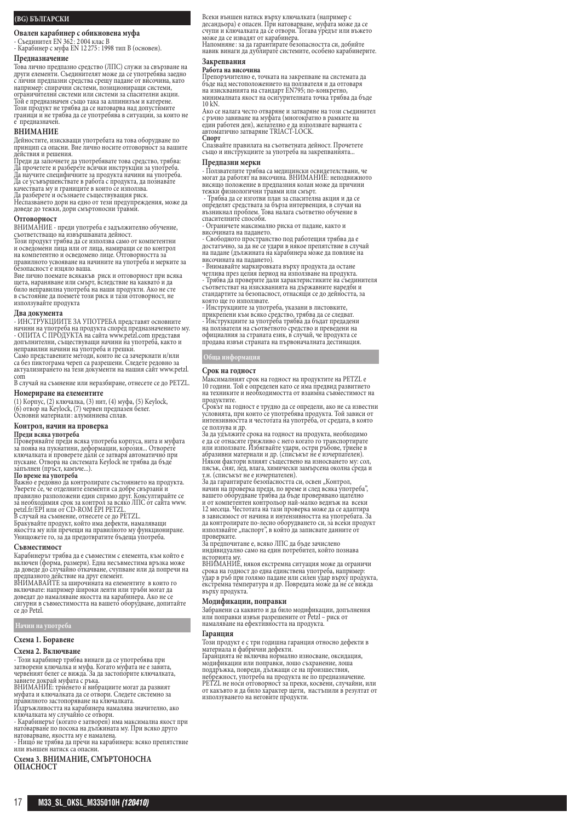# **(BG) БЪЛГАРСКИ**

**Овален карабинер с обикновена муфа**

- Съединител EN 362 : 2 004 клас B - Карабинер с муфа EN 12 275 : 1998 тип B (основен). **Предназначение**

Това лично предпазно средство (ЛПС) служи за свързване на други елементи. Съединителят може да се употребява заедно с лични предпазни средства срещу падане от височина, като например: спирачни системи, позициониращи системи, ограничителни системи или системи за спасителни акции. Той е предназначен също така за алпинизъм и катерене. Този продукт не трябва да се натоварва над допустимите граници и не трябва да се употребява в ситуации, за които не е предназначен.

# **ВНИМАНИЕ**

Дейностите, изискващи употребата на това оборудване по принцип са опасни. Вие лично носите отговорност за вашите

действия и решения. Преди да започнете да употребявате това средство, трябва: Да прочетете и разберете всички инструкции за употреба. Да научите специфичните за продукта начини на употреба. Да се усъвършенствате в работа с продукта, да познавате качествата му и границите в които се използва.

Да разберете и осъзнаете съществуващия риск. Неспазването дори на едно от тези предупреждения, може да доведе до тежки, дори смъртоносни травми.

**Отговорност**

ВНИМАНИЕ - преди употреба е задължително обучение,<br>съответстващо на извършваната дейност.<br>Този продукт трябва да се използва само от компетентни и осведомени лица или от лица, намиращи се по контрол на компетентно и осведомено лице. Отговорността за правилното усвояване на начините на употреба и мерките за безопасност е изцяло ваша.

Вие лично поемате всякакъв риск и отговорност при всяка<br>щета, нараняване или смърт, вследствие на каквато и да<br>било неправилна употреба на наши продукти. Ако не сте<br>в състояние да поемете този риск и тази отговорност, не използувайте продукта

#### **Два документа**

- ИНСТРУКЦИИТЕ ЗА УПОТРЕБА представят основните<br>начини на употреба на продукта според предназначението му.<br>- ОПИТА С ПРОДУКТА на сайта www.petzl.com представя<br>допълнителни, съществуващи начини на употреба, както и неправилни начини на употреба и грешки. Само представените методи, които не са зачеркнати и/или

са без пиктограма череп са разрешени. Следете редовно за актуализирането на тези документи на нашия сайт www.petzl. com

В случай на съмнение или неразбиране, отнесете се до PETZL.

### **Номериране на елементите**

(1) Корпус, (2) ключалка, (3) нит, (4) муфа, (5) Keylock,<br>(6) отвор на Keylock, (7) червен предпазен белег.<br>Основни материали: алуминиева сплав.

#### **Контрол, начин на проверка**

**Преди всяка употреба**<br>Проверявайте преди всяка употреба корпуса, нита и муфата<br>за поява на пукнатини, деформации, корозия... Отворете<br>ключалката и проверете дали се затваря автоматично при пускане. Отвора на системата Keylock не трябва да бъде<br>запълнен (пръст, камъче...).<br>**По време на употреба**<br>Важно е редовно да контролирате състоянието на продукта.

Уверете се, че отделните елементи са добре свързани и<br>правилно разположени един спрямо друг. Консултирайте се<br>за необходимия срок за контрол за всяко ЛПС от сайта www.<br>petzl.fr/EPI или от CD-ROM EPI PETZL.<br>В случай на съм

якостта му или пречещи на правилното му функциониране. Унищожете го, за да предотвратите бъдеща употреба.

#### **Съвместимост**

Карабинерът трябва да е съвместим с елемента, към който е включен (форма, размери). Една несъвместима връзка може да доведе до случайно откачване, счупване или да попречи на

предпазното действие на друг елемент.<br>ВНИМАВАЙТЕ за широчината на елементите в които го<br>включвате: например широки ленти или тръби могат да<br>доведат до намаляване якостта на карабинера. Ако не се сигурни в съвместимостта на вашето оборудване, допитайте се до Petzl.

#### **Начин на употреба**

# **Схема 1. Боравене**

#### **Схема 2. Включване**

- Този карабинер трябва винаги да се употребява при затворени ключалка и муфа. Когато муфата не е завита, червеният белег се вижда. За да застопорите ключалката,

завиете докрай муфата с ръка. ВНИМАНИЕ: триенето и вибрациите могат да развият муфата и ключалката да се отвори. Следете системно за<br>правилното застопоряване на ключалката.

правилното застопоряване на ключалката.<br>Издръжливостта на карабинера намалява значително, ако<br>ключалката му случайно се отвори.<br>- Карабинерът (когато е затворен) има максимална якост при<br>натоварване по посока на дължината

натоварване, якостта му е намалена.

- Нищо не трябва да пречи на карабинера: всяко препятствие или външен натиск са опасни.

#### **Схема 3. ВНИМАНИЕ, СМЪРТОНОСНА ОПАСНОСТ**

Всеки външен натиск върху ключалката (например с десандьора) е опасен. При натоварване, муфата може да се счупи и ключалката да се отвори. Тогава уредът или въжето

може да се извадят от карабинера.<br>Напомняне: за да гарантирате безопасността си, добийте<br>навик винаги да дублирате системите, особено карабинерите.

#### **Закрепвания**

#### **Работа на височина**

Препоръчително е, точката на закрепване на системата да бъде над местоположението на ползвателя и да отговаря на изискванията на стандарт EN795; по-конкретно, минималната якост на осигурителната точка трябва да бъде 10 kN.

Ако се налага често отваряне и затваряне на този съединител с ръчно завиване на муфата (многократно в рамките на един работен ден), желателно е да използвате варианта с автоматично затваряне TRIACT-LOCK.

**Спорт** Спазвайте правилата на съответната дейност. Прочетете също и инструкциите за употреба на закрепванията...

# **Предпазни мерки**

- Ползвателите трябва са медицински освидетелствани, че могат да работят на височина. ВНИМАНИЕ: неподвижното висящо положение в предпазния колан може да причини тежки физиологични травми или смърт. - Трябва да се изготви план за спасителна акция и да се

определят средствата за бърза интервенция, в случаи на възникнал проблем. Това налага съответно обучение в спасителните способи. - Ограничете максимално риска от падане, както и

височината на падането.

- Свободното пространство под работещия трябва да е достатъчно, за да не се удари в някое препятствие в случай на падане (дължината на карабинера може да повлияе на

височината на падането). - Внимавайте маркировката върху продукта да остане четлива през целия период на използване на продукта. - Трябва да проверите дали характеристиките на съединителя съответстват на изискванията на държавните наредби и стандартите за безопасност, отнасящи се до дейността, за която ще го използвате.

- Инструкциите за употреба, указани в листовките,<br>прикрепени към всяко средство, трябва да се следват.<br>- Инструкциите за употреба трябва да бъдат предадени<br>на ползвателя на съответното средство и преведени на официалния за страната език, в случай, че продукта се продава извън страната на първоначалната дестинация.

# **Обща информация**

#### **Срок на годност**

Максималният срок на годност на продуктите на PETZL е<br>10 години. Той е определен като се има предвид развитието<br>на техниките и необходимостта от взаимна съвместимост на продуктите.

Срокът на годност е трудно да се определи, ако не са известни условията, при които се употребява продукта. Той зависи от интензивността и честотата на употреба, от средата, в която

се ползува и др.<br>За да удължите срока на годност на продукта, необходимо<br>е да се отнасяте грижливо с него когато го транспортирате<br>или използвате. Избягвайте удари, остри ръбове, триене в<br>абразивни материали и др. (списък Някои фактори влияят съществено на износването му: сол, пясък, сняг, лед, влага, химически замърсена околна среда и т.н. (списъкът не е изчерпателен).

за да гарантирате безопасността си, освен "Контрол, начин на проверка преди, по време и след всяка употреба", вашето оборудване трябва да бъде проверявано щателно

и от компетентен контрольор най-малко веднъж на всеки<br>12 месеца. Честотата на тази проверка може да се адаптира<br>в зависимост от начина и интензивността на употребата. За да контролирате по-лесно оборудването си, за всеки продукт<br>използвайте "паспорт", в който да записвате данните от проверките.

За предпочитане е, всяко ЛПС да бъде зачислено индивидуално само на един потребител, който познава историята му.

ВНИМАНИЕ, някоя екстремна ситуация може да ограничи срока на годност до една единствена употреба, например: удар в ръб при голямо падане или силен удар върху продукта, екстремна температура и др. Повредата може да не се вижда върху продукта.

#### **Модификации, поправки**

Забранени са каквито и да било модификации, допълнения или поправки извън разрешените от Petzl – риск от намаляване на ефективността на продукта.

#### **Гаранция**

Този продукт е с три годишна гаранция относно дефекти в материала и фабрични дефекти.

Гаранцията не включва нормално износване, оксидация, модификации или поправки, лошо съхранение, лоша поддръжка, повреди, дължащи се на произшествия,<br>небрежност, употреба на продукта не по предназначение.<br>PETZL не носи отговорност за преки, косвени, случайни, или<br>от какъвто и да било характер щети, настъпили в резултат от използуването на неговите продукти.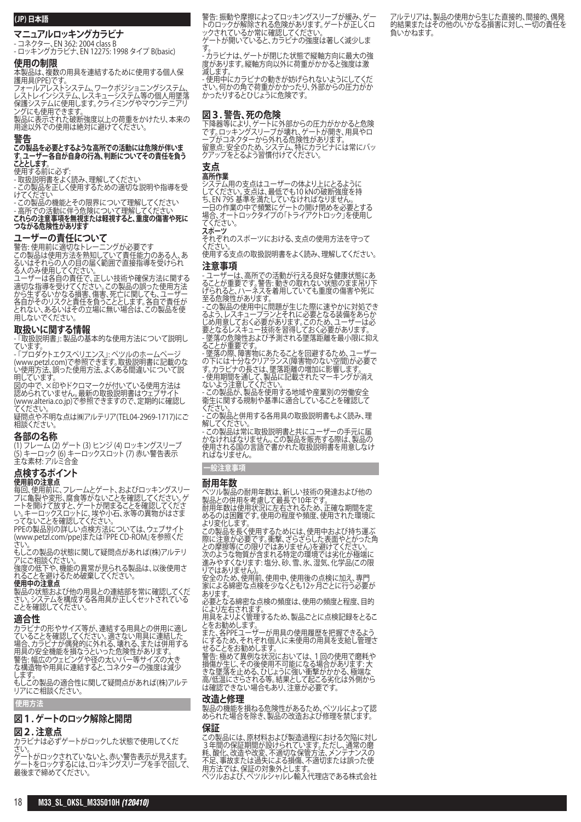# **(JP) 日本語**

**マニュアルロッキングカラビナ**

- コネクター、EN 362: 2004 class B

- ロッキングカラビナ、EN 12275: 1998 タイプ B(basic)

# **使用の制限**

本製品は、複数の用具を連結するために使用する個人保 護用具(PPE)です。

フォールアレストシステム、ワークポジショニングシステム、 レストレインシステム、レスキューシステム等の個人用墜落 保護システムに使用します。クライミングやマウンテニアリ

ングにも使用できます。 製品に表示された破断強度以上の荷重をかけたり、本来の 用途以外での使用は絶対に避けてください。

# **警告**

#### **この製品を必要とするような高所での活動には危険が伴いま す。ユーザー各自が自身の行為、判断についてその責任を負う こととします。**

使用する前に必ず:

- 取扱説明書をよく読み、理解してください

この製品を正しく使用するための適切な説明や指導を受 けてください

- この製品の機能とその限界について理解してください - 高所での活動に伴う危険について理解してください **これらの注意事項を無視または軽視すると、重度の傷害や死に つながる危険性があります**

# **ユーザーの責任について**

警告: 使用前に適切なトレーニングが必要です この製品は使用方法を熟知していて責任能力のある人、あ るいはそれらの人の目の届く範囲で直接指導を受けられ る人のみ使用してください。

ユーザーは各自の責任で、正しい技術や確保方法に関する 適切な指導を受けてください。この製品の誤った使用方法 から生ずるいかなる損害、傷害、死亡に関しても、ユーザー 各自がそのリスクと責任を負うこととします。各自で責任が とれない、あるいはその立場に無い場合は、この製品を使 用しないでください。

# **取扱いに関する情報**

- 「取扱説明書」: 製品の基本的な使用方法について説明し ています。

- 「プロダクトエクスペリエンス」: ペツルのホームページ (www.petzl.com)で参照できます。取扱説明書に記載のな い使用方法、誤った使用方法、よくある間違いについて説 明しています。

図の中で、×印やドクロマークが付いている使用方法は 認められていません。最<u>新</u>の取扱説明書はウェフサイト (www.alteria.co.jp)で参照できますので、定期的に確認し てください。

疑問点や不明な点は㈱アルテリア(TEL04-2969-1717)にご 相談ください。

# **各部の名称**

(1) フレーム (2) ゲート (3) ヒンジ (4) ロッキングスリーブ (5) キーロック (6) キーロックスロット (7) 赤い警告表示 主な素材: アルミ合金

# **点検するポイント**

**使用前の注意点**<br>毎回、使用前に、フレームとゲート、およびロッキングスリー ブに亀裂や変形、腐食等がないことを確認してください。ゲ ートを開けて放すと、ゲートが閉まることを確認してくださ い。キーロックスロットに、埃や小石、氷等の異物がはさま

ってないことを確認してください。 PPEの製品別の詳しい点検方法については、ウェブサイト (www.petzl.com/ppe)または『PPE CD-ROM』を参照くだ

さい。 もしこの製品の状態に関して疑問点があれば(株)アルテリ

アにご相談ください。

強度の低下や、機能の異常が見られる製品は、以後使用さ れることを避けるため破棄してください。

**使用中の注意点** 製品の状態および他の用具との連結部を常に確認してくだ さい。システムを構成する各用具が正しくセットされている ことを確認してください。

# **適合性**

カラビナの形やサイズ等が、連結する用具との併用に適し ていることを確認してください。適さない用具に連結した 場合、カラビナが偶発的に外れる、壊れる、または併用する 用具の安全機能を損なうといった危険性があります。 警告: 幅広のウェヒンクや径の太いハー等サイスの大き な構造物や用具に連結すると、コネクターの強度は減少

します。 もしこの製品の適合性に関して疑問点かあれは(株)/ノレテ <u>ししこう お話しださい。</u>

#### **使用方法**

# **図1. ゲートのロック解除と開閉**

# **図2. 注意点**

カラビナは必ずゲートがロックした状態で使用してくだ さい。

ゲートがロックされていないと、赤い警告表示が見えます。 ゲートをロックするには、ロッキングスリーブを手で回して、 最後まで締めてください。

警告: 振動や摩擦によってロッキングスリーブが緩み、ゲー トのロックが解除される危険があります。ゲートが正しくロ ックされているか常に確認してください。 ゲートが開いていると、カラビナの強度は著しく減少しま す。

- カラビナは、ゲートが閉じた状態で縦軸方向に最大の強 度があります。縦軸方向以外に荷重がかかると強度は激 減します。

- 使用中にカラビナの動きが妨げられないようにしてくだ さい。何かの角で荷重がかかったり、外部からの圧力がか かったりするとひじょうに危険です。

# **図3. 警告、死の危険**

下降器等により、ゲートに外部からの圧力がかかると危険 です。ロッキンクスリーフか壊れ、ケートか開き、用具やロ <sub>ンツロフィ</sub>ング・ジャング・ストック<br>プがコネクターから外れる危険性があります。 <u>留意点: 安全のため、システム、特に</u>カラビナには常にバッ クアップをとるよう習慣付けてください。

# **支点**

#### **高所作業** システム用の支点はユーザーの体より上にとるように してください。支点は、最低でも10 kNの破断強度を持 ち、EN 795 基準を満たしていなければなりません。 一日の作業の中で頻繁にゲートの開け閉めを必要とする 場合、オートロックタイプの「トライアクトロック」を使用し てください。

**スホーツ**<br>それぞれのスポーツにおける、支点の使用方法を守って ください。

使用する支点の取扱説明書をよく読み、理解してください。 **注意事項**

- ユーザーは、高所での活動が行える良好な健康状態にあ ることが重要です。警告: 動きの取れない状態のまま吊り下 げられると、ハーネスを着用していても重度の傷害や死に 至る危険性があります。

- この製品の使用中に問題が生じた際に速やかに対処でき るよう、レスキュープランとそれに必要となる装備をあらか じめ用意しておく必要があります。このため、ユーザーは必 要となるレスキュー技術を習得しておく必要があります。

- 墜落の危険性および予測される墜落距離を最小限に抑え ることが重要です。

- 墜落の際、障害物にあたることを回避するため、ユーザー の下には十分なクリアランス(障害物のない空間)が必要で す。カラビナの長さは、墜落距離の増加に影響します。

- 使用期間を通して、製品に記載されたマーキングが消え ないよう注意してください。 - この製品が、製品を使用する地域や産業別の労働安全

衛生に関する規制や基準に適合していることを確認して ください。

- この製品と併用する各用具の取扱説明書もよく読み、理 解してください。

- この製品は常に取扱説明書と共にユーザーの手元に届 かなければなりません。この製品を販売する際は、製品の 使用される国の言語で書かれた取扱説明書を用意しなけ ればなりません。

# **一般注意事項**

**耐用年数** ペツル製品の耐用年数は、新しい技術の発達および他の 製品との併用を考慮して最長で10年です。

耐用年数は使用状況に左右されるため、正確な期間を定 めるのは困難です。使用の程度や頻度、使用された環境に より変化します。

この製品を長く使用するためには、使用中および持ち運ぶ 際に注意が必要です。衝撃、ざらざらした表面やとがった角 との摩擦等(この限りではありません)を避けてください。 次のような物質が含まれる特定の環境では劣化が極端に

進みやすくなります: 塩分、砂、雪、氷、湿気、化学品(この限 りではありません)。 安全のため、使用前、使用中、使用後の点検に加え、専門

家による綿密な点検を少なくとも12ヶ月ごとに行う必要が あります。

必要となる綿密な点検の頻度は、使用の頻度と程度、目的 により左右されます。

用具をよりよく管理するため、製品ごとに点検記録をとるこ とをお勧めします。

また、各PPEユーザーが用具の使用履歴を把握できるよう にするため、それぞれ個人に未使用の用具を支給し管理さ せることをお勧めします。

警告: 極めて異例な状況においては、1回の使用で磨耗や 損傷が生じ、その後使用不可能になる場合があります: 大 きな墜落を止める、ひじょうに強い衝撃がかかる、極端な 高/低温にさらされる等。結果として起こる劣化は外側から は確認できない場合もあり、注意が必要です。

## **改造と修理**

製品の機能を損ねる危険性があるため、ペツルによって認 められた場合を除き、製品の改造および修理を禁じます。 **保証**

この製品には、原材料および製造過程における欠陥に対し 3年間の保証期間が設けられています。ただし、通常の磨 耗、酸化、改造や改変、不適切な保管方法、メンテナンスの 不足、事故または過失による損傷、不適切または誤った使 用方法では、保証の対象外とします。 ペツルおよび、ペツルシャルレ輸入代理店である株式会社 アルテリアは、製品の使用から生じた直接的、間接的、偶発 的結果またはその他のいかなる損害に対し、一切の責任を 負いかねます。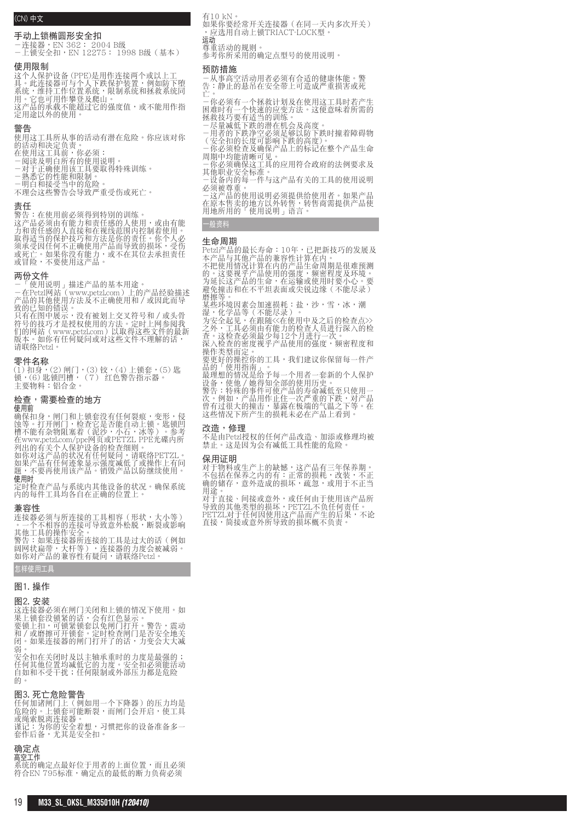# (CN) 中文

# 手动上锁椭圆形安全扣

-連接器,EN 362: 2004 B級 -上鎖安全扣,EN 12275: 1998 B級(基本)

## 使用限制

这个人保护设备 (PPE)是用作连接两个或以上工 具。此连接器可与个人下跌保护装置,例如防下堕 系统,维持工作位置系统,限制系统和拯救系统同 用。它也可用作攀登及爬山。 这产品的承载不能超过它的强度值,或不能用作指 定用途以外的使用。

#### 警告

使用这工具所从事的活动有潜在危险。你应该对你 的活動和決定負責。

- 在使用这工具前,你必须:
- -閱讀及明白所有的使用說明。

-对于正确使用该工具要取得特殊训练。 -熟悉它的性能和限制。

-明白和接受當中的危險。

不理会这些警告会导致严重受伤或死亡。

#### 責任

警告:在使用前必須得到特別的訓練。 这产品必须由有能力和责任感的人使用,或由有能 力和責任感的人直接和在視線範圍內控制著使用。 取得适当的保护技巧和方法是你的责任。你个人必 须承受因任何不正确使用产品而导致的损坏,受伤 或死亡。如果你没有能力,或不在其位去承担责任 或冒险,不要使用这产品。

# 兩份文件

-「使用說明」描述產品的基本用途。 -在Petzl網站(www.petzl.com)上的產品經驗描述 产品的其他使用方法及不正确使用和 / 或因此而导 致的已知的錯誤。

只有在图中展示,没有被划上交叉符号和/或头骨<br>符号的技巧才是授权使用的方法。定时上网参阅我<br>们的网站(www.petzl.com)以取得这些文件的最新 版本。如你有任何疑问或对这些文件不理解的话, 請聯絡Petzl。

# 零件名稱

(1) 扣身,(2) 閘門,(3) 鉸,(4) 上鎖套,(5) 匙 鎖,(6) 匙鎖凹槽,(7) 紅色警告指示器。 主要物料:鋁合金。

# 檢查,需要檢查的地方

使用前

确保扣身,闸门和上锁套没有任何裂痕,变形,侵 蚀等。打开闸门,检查它是否能自动上锁。匙锁凹 槽不能有雜物阻塞著(泥沙,小石,冰等)。參考 在www.petzl.com/ppe網頁或PETZL PPE光碟內所 列出的有关个人保护设备的检查细则。

如你對這產品的狀況有任何疑問,請聯絡PETZL。 如果产品有任何迹象显示强度减低了或操作上有问 题,不要再使用该产品。销毁产品以防继续使用。 使用時

定时检查产品与系统内其他设备的状况。确保系统 內的每件工具均各自在正確的位置上。

# 兼容性

连接器必须与所连接的工具相容(形状,大小等) 。一个不相容的连接可导致意外松脱,断裂或影响 其他工具的操作安全。 警告:如果連接器所連接的工具是過大的話(例如 阔网状扁带,大杆等),连接器的力度会被减弱。 如你對產品的兼容性有疑問,請聯絡Petzl。

# 怎样使用工具

# 圖1. 操作

## 圖2. 安裝

这连接器必须在闸门关闭和上锁的情况下使用。如 果上锁套没锁紧的话,会有红色显示。 要锁上扣,可锁紧锁套以免闸门打开。警告,震动 和 / 或磨擦可开锁套。定时检查闸门是否安全地关 闭。如果连接器的闸门打开了的话,力变会大大减 弱。

安全扣在关闭时及以主轴承重时的力度是最强的; 任何其他位置均減低它的力度。安全扣必須能活動 自如和不受干扰;任何限制或外部压力都是危险 的

## 圖3. 死亡危險警告

任何加諸閘門上(例如用一個下降器)的壓力均是 危险的。上锁套可能断裂,而闸门会开启,使工具 或繩索脫離連接器。 谨记:为你的安全着想,习惯把你的设备准备多一 套作后备,尤其是安全扣。

# 确定点

高空工作 系統的確定點最好位於用者的上面位置,而且必須 符合EN 795标准,确定点的最低的断力负荷必须

有10 kN。

如果你要经常开关连接器(在同一天内多次开关) ,應選用自動上鎖TRIACT-LOCK型。

運動 尊重活動的規則。

参考你所采用的确定点型号的使用说明。

# 預防措施

-从事高空活动用者必须有合适的健康体能。警 告:静止的悬吊在安全带上可造成严重损害或死 亡。

-你必须有-个拯救计划及在使用这工具时若产生 困难时有一个快速的应变方法。这便意味着所需的 拯救技巧要有适当的训练。

-尽量减低下跌的潜在机会及高度。 -用者的下跌淨空必須足夠以防下跌時撞著障礙物 (安全扣的長度可影響下跌的高度)。

-你必须检查及确保产品上的标记在整个产品生命 周期中均能清晰可见

- 一你必须确保这工具的应用符合政府的法例要求及 其他职业安全标准。
- 一设备内的每一件与这产品有关的工具的使用说明 必須被尊重。

-这产品的使用说明必须提供给使用者。如果产品 在原本售卖的地方以外转售,转售商需提供产品使 用地所用的「使用說明」語言。

# 一般資料

# 生命週期

Petzl产品的最长寿命: 10年,已把新技巧的发展及 本产品与其他产品的兼容性计算在内。 不把使用情况计算在内的产品生命周期是很难预测 的。这要视乎产品使用的强度,频密程度及环境。 为延长这产品的生命,在运输或使用时要小心。要 避免撞击和在不平坦表面或尖锐边缘(不能尽录)

磨擦等。 某些环境因素会加速损耗:盐,沙,雪,冰,潮

湿,化学品等(不能尽录)。<br>为安全起见,在跟随<<在使用中及之后的检查点>><br>之外,工具必须由有能力的检查人员进行深入的检 查。这检查必须最少每12个月进行一次。

深入检查的密度视乎产品使用的强度,频密程度和 操作類型而定。

要更好的操控你的工具,我们建议你保留每一件产 品的「使用指南」。

最理想的情况是给予每一个用者一套新的个人保护 设备,使他 / 她得知全部的使用历史。 警告:特殊的事件可使产品的寿命减低至只使用一

次。例如,产品用作止住一次严重的下跌,对产品 曾有过很大的撞击,暴露在极端的气温之下等。在 这些情况下所产生的损耗未必在产品上看到。

# 改造,修理

不是由Petzl授權的任何產品改造、加添或修理均被 平定出:《温及公的世的》 品纹造 *油*称《屬<br>禁止。这是因为会有减低工具性能的危险。

### 保用証明

对于物料或生产上的缺憾,这产品有三年保养期。 不包括在保养之内的有:正常的损耗,改装,不正 确的储存,意外造成的损坏,疏忽,或用于不正当 用途。

对于直接、间接或意外,或任何由于使用该产品所 導致的其他類型的損壞,PETZL不負任何責任。 PETZL对于任何因使用这产品而产生的后果,不论 直接,简接或意外所导致的损坏概不负责。